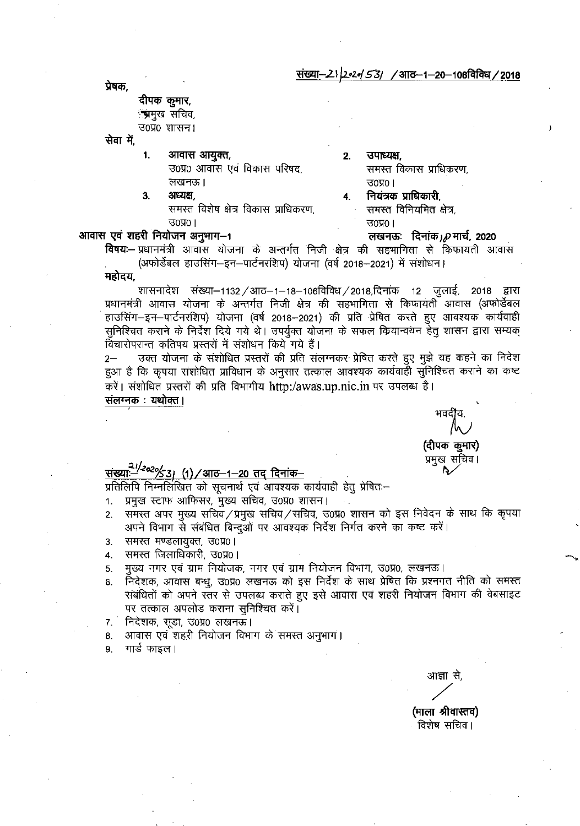संख्या–21 2•2• 53 / आठ–1–20–106 विविध / 2018

प्रेषक,

#### दीपक कुमार, ंभ्रमुख सचिव,

उ०प्र० शासन।

सेवा में.

- आवास आयुक्त, 1.
	- उ०प्र० आवास एवं विकास परिषद, लखनऊ। अध्यक्ष,

समस्त विशेष क्षेत्र विकास प्राधिकरण,  $30\,$ प्र $0$  |

#### उपाध्यक्ष.  $2.$ समस्त विकास प्राधिकरण,  $7000$ नियंत्रक प्राधिकारी, 4.

समस्त विनियमित क्षेत्र,

लखनऊ: दिनांक D मार्च, 2020

 $70\%$ ।

#### आवास एवं शहरी नियोजन अनुमाग-1

3.

विषयः– प्रधानमंत्री आवास योजना के अन्तर्गत निजी क्षेत्र की सहभागिता से किफायती आवास (अफोर्डेबल हाउसिंग–इन–पार्टनरशिप) योजना (वर्ष 2018–2021) में संशोधन।

महोदय.

शासनादेश संख्या–1132 / आठ–1–18–106विविध / 2018,दिनांक 12 जुलाई, 2018 द्वारा प्रधानमंत्री आवास योजना के अन्तर्गत निजी क्षेत्र की सहभागिता से किफायती आवास (अफोर्डेबल हाउसिंग–इन–पार्टनरशिप) योजना (वर्ष 2018–2021) की प्रति प्रेषित करते हुए आवश्यक कार्यवाही सुनिश्चित कराने के निर्देश दिये गये थे। उपर्युक्त योजना के सफल क्रियान्वयन हेतू शासन द्वारा सम्यक् विचारोपरान्त कतिपय प्रस्तरों में संशोधन किये गये हैं।

उक्त योजना के संशोधित प्रस्तरों की प्रति संलग्नकर प्रेषित करते हुए मुझे यह कहने का निदेश  $2 -$ हुआ है कि कृपया संशोधित प्राविधान के अनुसार तत्काल आवश्यक कार्यवाही सुनिश्चित कराने का कष्ट करें। संशोधित प्रस्तरों की प्रति विभागीय http:/awas.up.nic.in पर उपलब्ध है।

संलग्नक : यथोक्त।

(दीपक कूमार) स्म

## <u>संख्याः–2020/531 (1) / आठ–1–20 तद् दिनांक–</u>

प्रतिलिपि निम्नलिखित को सूचनार्थ एवं आवश्यक कार्यवाही हेतु प्रेषितः–

- प्रमुख स्टाफ आफिसर, मुख्य सचिव, उ0प्र0 शासन।  $1.$
- समस्त अपर मुख्य सचिव/प्रमुख सचिव/सचिव, उ0प्र0 शासन को इस निवेदन के साथ कि कृपया  $2.$ अपने विभाग से संबंधित बिन्दुओं पर आवश्युक निर्देश निर्गत करने का कष्ट करें।
- समस्त मण्डलायुक्त, उ०प्र०। 3.
- समस्त जिलाधिकारी, उ०प्र०।  $\overline{4}$
- मुख्य नगर एवं ग्राम नियोजक, नगर एवं ग्राम नियोजन विभाग, उ0प्र0, लखनऊ। 5.
- निदेशक, आवास बन्धु, उ0प्र0 लखनऊ को इस निर्देश के साथ प्रेषित कि प्रश्नगत नीति को समस्त 6. संबंधितों को अपने स्तर से उपलब्ध कराते हुए इसे आवास एवं शहरी नियोजन विभाग की वेबसाइट पर तत्काल अपलोड कराना सुनिश्चित करें।
- 7. निदेशक, सूडा, उ0प्र0 लखनऊ।
- आवास एवं शहरी नियोजन विभाग के समस्त अनुभाग। 8.
- गार्ड फाइल। 9.

आज्ञा से.

(माला श्रीवास्तव) विशेष सचिव।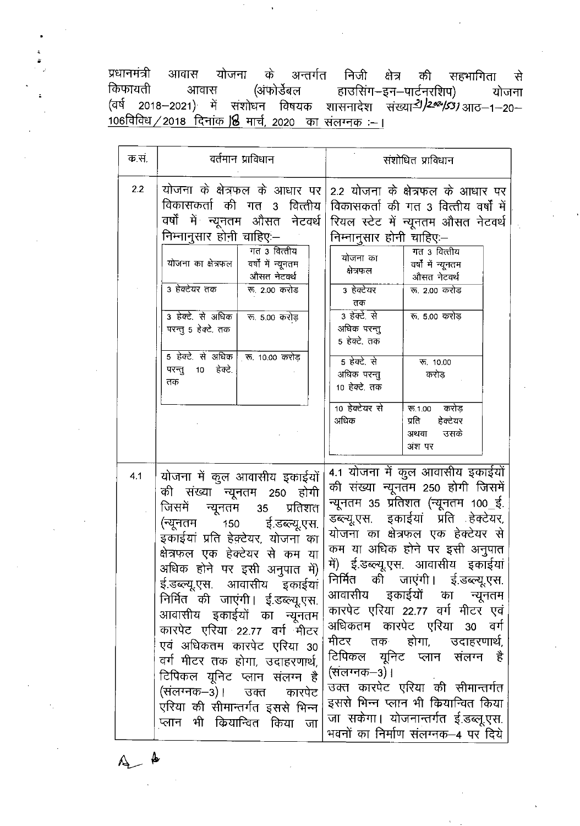प्रधानमंत्री आवास योजना के अन्तर्गत निजी क्षेत्र की सहभागिता से ति स्वर्गः स्वर्गः स्वर्गः स्वर्गः । स्वर्गः स्वर्गः स्वर्गः स्वर्गः स्वर्गः स्वर्गः स्वर्गः । स्वर्गः स्वर्गा<br>(वर्षे २०१८–२०२१) में संशोधन विषयक शासनादेश संख्या*- । । २०२-१५३१* आठ–१–२०– 106विविध / 2018 दिनांक 18 मार्च, 2020 का संलग्नक :- ।

| क स. | वर्तमान प्राविधान                                                                                                                                                                                                                                                                                                                                                                                                                                                                                                                                               | संशोधित प्राविधान                                                                                                                                                                                                                                                                                                                                                                                                                                                                                                                                                                                                                       |
|------|-----------------------------------------------------------------------------------------------------------------------------------------------------------------------------------------------------------------------------------------------------------------------------------------------------------------------------------------------------------------------------------------------------------------------------------------------------------------------------------------------------------------------------------------------------------------|-----------------------------------------------------------------------------------------------------------------------------------------------------------------------------------------------------------------------------------------------------------------------------------------------------------------------------------------------------------------------------------------------------------------------------------------------------------------------------------------------------------------------------------------------------------------------------------------------------------------------------------------|
| 2.2  | विकासकर्ता की गत 3 वित्तीय<br>वर्षों में न्यूनतम औसत नेटवर्थ <br>निम्नानुसार होनी चाहिए:–<br>गत 3 वित्तीय<br>योजना का क्षेत्रफल  <br>वर्षों में न्यूनतम<br>औसत नेटवर्थ<br>3 हेक्टेयर तक<br>रू 2.00 करोड<br>3 हेक्टे. से अधिक  <br>रू. 5.00 करोड़<br>परन्तु 5 हेक्टे. तक<br>5 हेक्टे. से अधिक क. 10.00 करोड़<br>परन्तु 10 हेक्टे.<br>तक                                                                                                                                                                                                                          | योजना के क्षेत्रफल के आधार पर 2.2 योजना के क्षेत्रफल के आधार पर<br>विकासकर्ता की गत 3 वित्तीय वर्षों में<br>  रियल स्टेट में न्यूनतम औसत नेटवर्थ<br>निम्नानुसार होनी चाहिए:–<br>गत 3 वित्तीय<br>योजना का<br>वर्षों में न्यूनतम<br>क्षेत्रफल<br>औसत नेटवर्थ<br>3 हेक्टेयर<br>रू 2.00 करोड<br>तक<br>3 हेक्टे से<br>रू 5.00 करोड़<br>अधिक परन्तु<br>5 हेक्टे. तक<br>5 हेक्टे. से<br>रू. 10.00<br>अधिक परन्तु<br>करोड<br>10 हेक्टे. तक                                                                                                                                                                                                      |
|      |                                                                                                                                                                                                                                                                                                                                                                                                                                                                                                                                                                 | 10 हेक्टेयर से<br>रू.1.00 करोड़<br>अधिक<br>प्रति<br>हेक्टेयर<br>उसके<br>अथवा<br>अंश पर                                                                                                                                                                                                                                                                                                                                                                                                                                                                                                                                                  |
| 4.1  | योजना में कुल आवासीय इकाईयों<br>की संख्या न्यूनतम 250 होगी<br>जिसमें न्यूनतम 35 प्रतिशत<br>(न्यूनतम 150<br>ई.डब्ल्यू.एस.<br>इकाईयां प्रति हेक्टेयर, योजना का<br>क्षेत्रफल एक हेक्टेयर से कम या<br>अधिक होने पर इसी अनुपात में)<br>ई.डब्ल्यू.एस. आवासीय इकाईयां<br>निर्मित की जाएंगी। ई.डब्ल्यू.एस.<br>आवासीय इकाईयों का न्यूनतम<br>कारपेट एरिया 22.77 वर्ग मीटर<br>एवं अधिकतम कारपेट एरिया 30<br>वर्ग मीटर तक होगा, उदाहरणार्थ,<br>टिपिकल यूनिट प्लान संलग्न है<br>(संलग्नक–3)। उक्त<br>कारपेट<br>एरिया की सीमान्तर्गत इससे भिन्न<br>प्लान भी कियान्वित किया जा | 4.1 योजना में कुल आवासीय इकाईयों<br>की संख्या न्यूनतम 250 होगी जिसमें<br>न्यूनतम 35 प्रतिशत (न्यूनतम 100_ई.<br>डब्ल्यू.एस. इकाईयां प्रति हेक्टेयर,<br>योजना का क्षेत्रफल एक हेक्टेयर से<br>कम या अधिक होने पर इसी अनुपात<br>में) ई.डब्ल्यू.एस. आवासीय इकाईयां<br>निर्मित को जाएंगी। ई.डब्ल्यू.एस.<br>आवासीय इकाईयों का न्यूनतम<br>कारपेट एरिया 22.77 वर्ग मीटर एवं<br>अधिकतम कारपेट एरिया 30<br>वर्ग<br>मीटर तक होगा, उदाहरणार्थ,<br>टिपिकल यूनिट प्लान संलग्न है<br>(संलग्नक−3)।<br>उक्त कारपेट एरिया की सीमान्तर्गत<br>इससे भिन्न प्लान भी कियान्वित किया<br>जा सकेगा। योजनान्तर्गत ई.डब्लू.एस.<br>भवनों का निर्माण संलग्नक–4 पर दिये |

 $A$   $\rightarrow$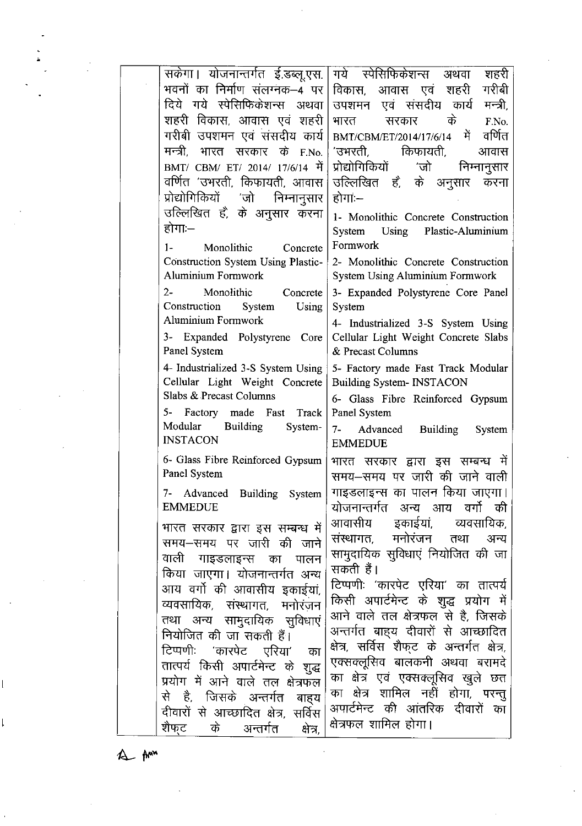| सकेगा। योजनान्तर्गत ई.डब्लू.एस.                  | गये स्पेसिफिकेशन्स<br>शहरी<br>अथवा            |
|--------------------------------------------------|-----------------------------------------------|
| भवनों का निर्माण संलग्नक—4 पर                    | गरीबी<br>विकास, आवास एवं शहरी                 |
| दिये गये स्पेसिफिकेशन्स अथवा                     | उपशमन एवं संसदीय कार्य<br>मन्त्री.            |
| शहरी विकास, आवास एवं शहरी                        | के<br>सरकार<br>भारत<br>F.No.                  |
| गरीबी उपशमन एवं संसदीय कार्य                     | वर्णित<br>BMT/CBM/ET/2014/17/6/14 में         |
| मन्त्री, भारत सरकार<br>के F.No.                  | 'उभरती, किफायती,<br>आवास                      |
| BMT/ CBM/ ET/ 2014/ 17/6/14 में                  | प्रोद्योगिकियों<br>′जो<br>निम्नानुसार         |
| वर्णित 'उभरती, किफायती, आवास                     | उल्लिखित हैं, के अनुसार<br>करना               |
| प्रोद्योगिकियों 'जो निम्नानुसार                  | होगाः—                                        |
| उल्लिखित हैं, के अनुसार करना                     | 1- Monolithic Concrete Construction           |
| होगाः—                                           | System Using Plastic-Aluminium                |
| $1 -$<br>Monolithic<br>Concrete                  | Formwork                                      |
| Construction System Using Plastic-               | 2- Monolithic Concrete Construction           |
| Aluminium Formwork                               | System Using Aluminium Formwork               |
| $2 -$<br>Monolithic Concrete                     | 3- Expanded Polystyrene Core Panel            |
| Construction<br>System<br>Using                  | System                                        |
| Aluminium Formwork                               | 4- Industrialized 3-S System Using            |
| 3- Expanded Polystyrene Core                     | Cellular Light Weight Concrete Slabs          |
| Panel System                                     | & Precast Columns                             |
| 4- Industrialized 3-S System Using               | 5- Factory made Fast Track Modular            |
| Cellular Light Weight Concrete                   | <b>Building System- INSTACON</b>              |
| Slabs & Precast Columns                          | 6- Glass Fibre Reinforced Gypsum              |
| 5- Factory made Fast Track<br>Modular Building   | Panel System                                  |
| System-<br><b>INSTACON</b>                       | 7- Advanced Building System                   |
|                                                  | <b>EMMEDUE</b>                                |
| 6- Glass Fibre Reinforced Gypsum<br>Panel System | भारत सरकार द्वारा इस सम्बन्ध में              |
|                                                  | समय-समय पर जारी की जाने वाली                  |
| 7- Advanced Building System                      | गाइडलाइन्स का पालन किया जाएगा।                |
| EMMEDUE                                          | योजनान्तर्गत अन्य आय वर्गो की                 |
| भारत सरकार द्वारा इस सम्बन्ध में                 | आवासीय इकाईयां, व्यवसायिक,                    |
| समय-समय पर जारी की जाने                          | संस्थागत, मनोरंजन तथा<br>अन्य                 |
| वाली गाइंडलाइन्स का पालन                         | सामुदायिक सुविधाएं नियोजित की जा<br>सकती हैं। |
| किया जाएगा। योजनान्तर्गत अन्य                    | टिप्पणीः 'कारपेट एरिया' का तात्पर्य           |
| आय वर्गो की आवासीय इकाईयां,                      | किसी अपार्टमेन्ट के शुद्ध प्रयोग में          |
| व्यवसायिक, संस्थागत, मनोरंजन                     | आने वाले तल क्षेत्रफल से है, जिसके            |
| तथा अन्य सामुदायिक सुविधाएं                      | अन्तर्गत बाह्य दीवारों से आच्छादित            |
| नियोजित की जा सकती हैं।                          | क्षेत्र, सर्विस शैफ्ट के अन्तर्गत क्षेत्र,    |
| टिप्पणीः 'कारपेट एरिया' का                       | एक्सक्लूसिव बालकनी अथवा बरामदे                |
| तात्पर्य किसी अपार्टमेन्ट के शुद्ध               | का क्षेत्र एवं एक्सक्लूसिव खुले छत            |
| प्रयोग में आने वाले तल क्षेत्रफल                 | का क्षेत्र शामिल नहीं होगा, परन्तु            |
| से है, जिसके अन्तर्गत बाह्य                      | अपार्टमेन्ट की आंतरिक दीवारों का              |
| दीवारों से आच्छादित क्षेत्र, सर्विस              | क्षेत्रफल शामिल होगा।                         |
| के अन्तर्गत<br>शैफट<br>क्षेत्र,                  |                                               |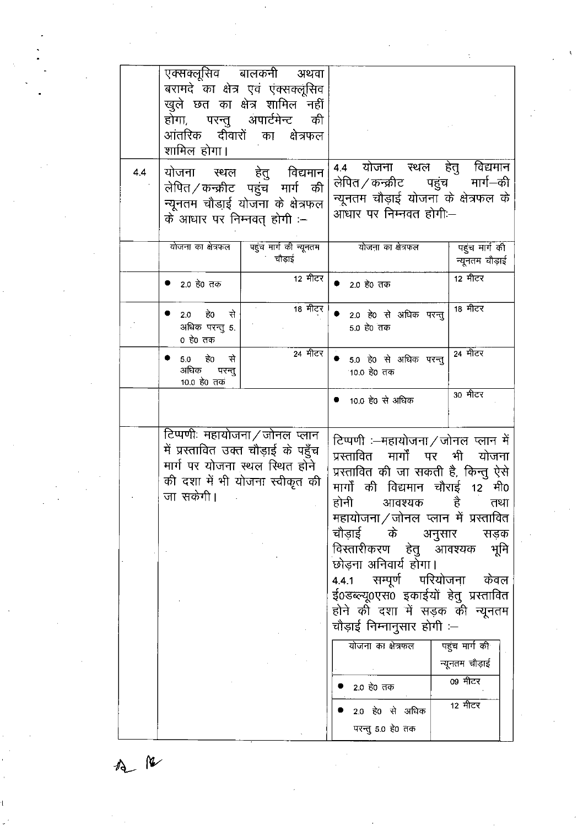|     | एक्सक्लूसिव बालकनी अथवा<br>बरामदे का क्षेत्र एवं एंक्सक्लूसिव<br>खुले छत का क्षेत्र शामिल नहीं<br>होगा, परन्तु अपार्टमेन्ट की<br>आंतरिक दीवारों का क्षेत्रफल<br>शामिल होगा। |                                                                                                                                                                                                                                                                                                                                                                                                                                                                                  |
|-----|-----------------------------------------------------------------------------------------------------------------------------------------------------------------------------|----------------------------------------------------------------------------------------------------------------------------------------------------------------------------------------------------------------------------------------------------------------------------------------------------------------------------------------------------------------------------------------------------------------------------------------------------------------------------------|
| 4.4 | योजना स्थल हेतु विद्यमान<br>लेपित ⁄ कन्क्रीट पहुंच मार्ग की<br>न्यूनतम चौडाई योजना के क्षेत्रफल<br>के आधार पर निम्नवत् होगी :–                                              | विद्यमान<br>$\overline{4.4}$ योजना स्थल हेतु<br>मार्ग—की<br>लेपित <i>/ कन्क्रीट</i> पहुंच<br>न्यूनतम चौड़ाई योजना के क्षेत्रफल के<br>आधार पर निम्नवत होगी:--                                                                                                                                                                                                                                                                                                                     |
|     | योजना का क्षेत्रफल<br>पहुच मार्ग की न्यूनतम<br>चौड़ाई                                                                                                                       | योजना का क्षेत्रफल<br>पहुंच मार्ग की<br>न्यूनतम चौड़ाई                                                                                                                                                                                                                                                                                                                                                                                                                           |
|     | 12 मीटर<br>● 2.0 हे0 तक                                                                                                                                                     | 12 मीटर<br>2.0 हे0 तक                                                                                                                                                                                                                                                                                                                                                                                                                                                            |
|     | $18$ मीटर<br>2.0 है0 से<br>अधिक परन्तु 5.<br>० हे० तक                                                                                                                       | 18 मीटर<br>● 2.0 हे0 से अधिक परन्तु<br>5.0 हे0 तक                                                                                                                                                                                                                                                                                                                                                                                                                                |
|     | 24 मीटर<br>● 5.0 हे0 से<br>अधिक परन्त्<br>10.0 हे0 तक                                                                                                                       | $24$ मीटर<br>● 5.0 हे0 से अधिक परन्तु<br>10.0 हे0 तक                                                                                                                                                                                                                                                                                                                                                                                                                             |
|     |                                                                                                                                                                             | 30 मीटर<br>● 10.0 हे0 से अधिक                                                                                                                                                                                                                                                                                                                                                                                                                                                    |
|     | टिप्पणीः महायोजना ⁄ जोनल प्लान<br>में प्रस्तावित उक्त चौड़ाई के पहुँच<br>मार्ग पर योजना स्थल स्थित होने<br>की दशा में भी योजना स्वीकृत की<br>जा सकेगी।                      | टिप्पणी ≔महायोजना ∕ जोनल प्लान में<br>प्रस्तावित मार्गों पर<br>भी योजना<br>प्रस्तावित की जा सकती है, किन्तु ऐसे<br>मार्गों की विद्यमान चौराई 12 मी0<br>होनी आवश्यक है<br>तथा<br>महायोजना ⁄ जोनल प्लान में प्रस्तावित<br>चौड़ाई के<br>अनुसार<br>सड़क<br>विस्तारीकरण हेतु आवश्यक<br>भूमि<br>छोड़ना अनिवार्य होगा।<br>4.4.1 सम्पूर्ण परियोजना केवल<br>ई0डब्ल्यू0एस0 इकाईयों हेतु प्रस्तावित<br>होने की दशा में सड़क की न्यूनतम<br>चौड़ाई निम्नानुसार होगी :--<br>योजना का क्षेत्रफल |
|     |                                                                                                                                                                             | पहुंच मार्ग की<br>न्यूनतम चौड़ाई<br>09 मीटर<br>2.0 हे0 तक<br>12 मीटर<br>2.0 हे0 से अधिक<br>परन्तु 5.0 हे0 तक                                                                                                                                                                                                                                                                                                                                                                     |

 $M_{\odot}$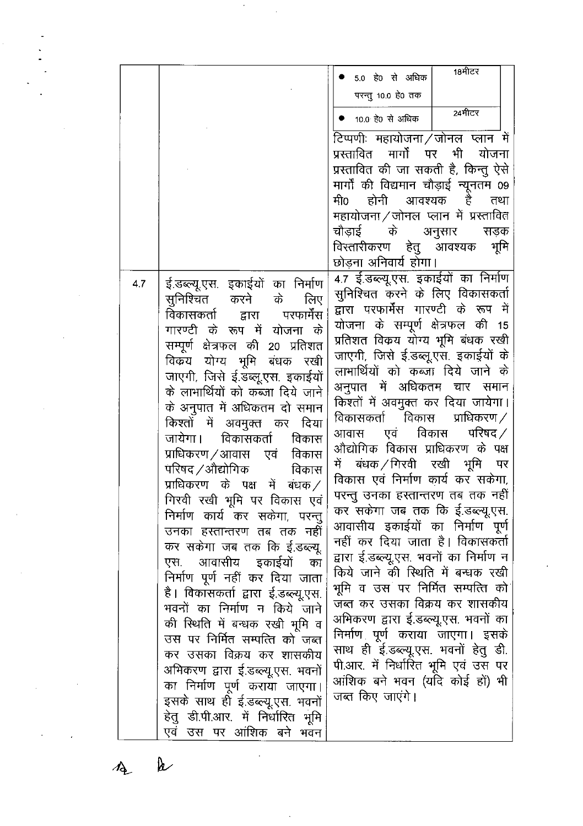|     |                                                                    | $18$ मीटर<br>5.0 हे0 से अधिक                                               |
|-----|--------------------------------------------------------------------|----------------------------------------------------------------------------|
|     |                                                                    | परन्तु 10.0 हे0 तक                                                         |
|     |                                                                    | 24मीटर                                                                     |
|     |                                                                    | ● 10.0 हे0 से अधिक                                                         |
|     |                                                                    | टिप्पणीः महायोजना ⁄ जोनल प्लान में                                         |
|     |                                                                    | प्रस्तावित मार्गों पर<br>भी<br>योजना                                       |
|     |                                                                    | प्रस्तावित की जा सकती है, किन्तु ऐसे                                       |
|     |                                                                    | मार्गों की विद्यमान चौड़ाई न्यूनतम 09                                      |
|     |                                                                    | मी0<br>होनी आवश्यक है<br>तथा<br>महायोजना ⁄ जोनल प्लान में प्रस्तावित       |
|     |                                                                    | चौडाई के अनुसार सडक                                                        |
|     |                                                                    | भूमि<br>विस्तारीकरण हेतु आवश्यक                                            |
|     |                                                                    | छोड़ना अनिवार्य होगा।                                                      |
| 4.7 | इं.डब्ल्यू.एस. इकाईयों का निर्माण                                  | 4.7 ई.डब्ल्यू.एस. इकाईयों का निर्माण                                       |
|     | सुनिश्चित करने के<br>लिए                                           | सुनिश्चित करने के लिए विकासकर्ता                                           |
|     | द्वारा परफार्मेंस<br>विकासकर्ता                                    | द्वारा परफार्मेंस गारण्टी के रूप में                                       |
|     | गारण्टी के रूप में योजना के                                        | योजना के सम्पूर्ण क्षेत्रफल की 15                                          |
|     | सम्पूर्ण क्षेत्रफल की 20 प्रतिशत                                   | प्रतिशत विक्रय योग्य भूमि बंधक रखी                                         |
|     | विकय योग्य भूमि बंधक रखी                                           | जाएगी, जिसे ई.डब्लू.एस. इकाईयों के                                         |
|     | जाएगी, जिसे ई.डब्लू.एस. इकाईयों                                    | लाभार्थियों को कब्जा दिये जाने के                                          |
|     | के लाभार्थियों को कब्जा दिये जाने                                  | अनुपात में अधिकतम चार समान                                                 |
|     | के अनुपात में अधिकतम दो समान                                       | किश्तों में अवमुक्त कर दिया जायेगा।<br>विकासकर्ता विकास प्राधिकरण $\angle$ |
|     | किश्तों में अवमुक्त कर<br>दिया                                     | आवास एवं विकास परिषद $\angle$                                              |
|     | विकासकर्ता<br>जायेगा।<br>विकास                                     | औद्योगिक विकास प्राधिकरण के पक्ष                                           |
|     | प्राधिकरण ⁄ आवास एवं<br>विकास                                      | में बंधक/गिरवी रखी भूमि पर                                                 |
|     | परिषद ⁄ औद्योगिक<br>विकास                                          | विकास एवं निर्माण कार्य कर सकेगा,                                          |
|     | प्राधिकरण के पक्ष में बंधक $\angle$<br>गिरवी रखी भूमि पर विकास एवं | परन्तु उनका हस्तान्तरण तब तक नहीं                                          |
|     | निर्माण कार्य कर सकेगा, परन्तु                                     | कर सकेगा जब तक कि ई.डब्ल्यू.एस.                                            |
|     | उनका हस्तान्तरण तब तक नहीं                                         | आवासीय इकाईयों का निर्माण पूर्ण                                            |
|     | कर सकेगा जब तक कि ई.डब्ल्यू.                                       | नहीं कर दिया जाता है। विकासकर्ता                                           |
|     | एस. आवासीय इकाईयों का                                              | द्वारा ई.डब्ल्यू.एस. भवनों का निर्माण न                                    |
|     | निर्माण पूर्ण नहीं कर दिया जाता                                    | किये जाने की स्थिति में बन्धक रखी                                          |
|     | है। विकासकर्ता द्वारा ई.डब्ल्यू.एस.                                | भूमि व उस पर निर्मित सम्पत्ति को                                           |
|     | भवनों का निर्माण न किये जाने                                       | जब्त कर उसका विक्रय कर शासकीय                                              |
|     | की स्थिति में बन्धक रखी भूमि व                                     | अभिकरण द्वारा ई.डब्ल्यू.एस. भवनों का                                       |
|     | उस पर निर्मित सम्पत्ति को जब्त                                     | निर्माण पूर्ण कराया जाएगा। इसके                                            |
|     | कर उसका विक्रय कर शासकीय                                           | साथ ही ई.डब्ल्यू.एस. भवनों हेतु डी.<br>पी.आर. में निर्धारित भूमि एवं उस पर |
|     | अभिकरण द्वारा ई.डब्ल्यू.एस. भवनों                                  | आंशिक बने भवन (यदि कोई हों) भी                                             |
|     | का निर्माण पूर्ण कराया जाएगा।                                      | जब्त किए जाएंगे।                                                           |
|     | इसके साथ ही ई.डब्ल्यू.एस. भवनों                                    |                                                                            |
|     | हेतु डी.पी.आर. में निर्धारित भूमि<br>एवं उस पर आंशिक बने भवन       |                                                                            |
|     |                                                                    |                                                                            |

 $\bar{\beta}$ 

 $\mathcal{F}_{\mathcal{G}}$ 

 $\lambda$  $\overline{A}$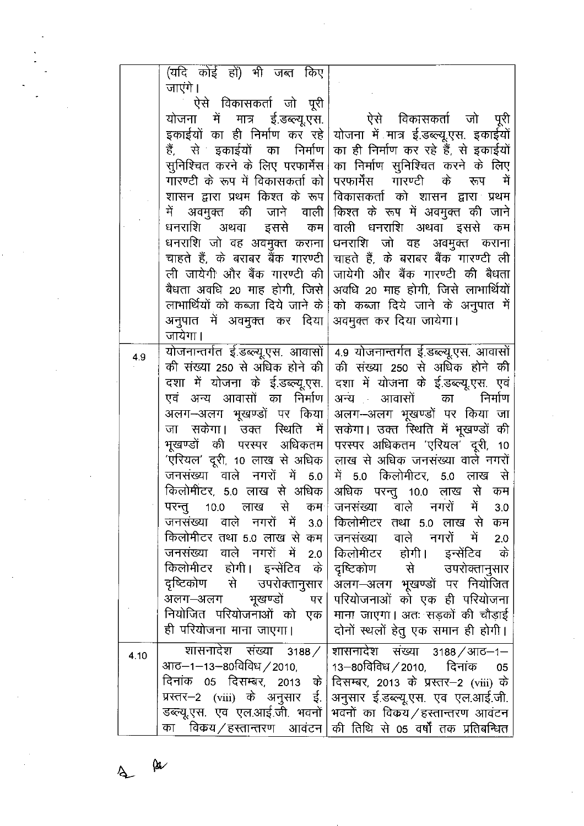|      | (यदि कोई हों) भी जब्त किए                                         |                                                                   |
|------|-------------------------------------------------------------------|-------------------------------------------------------------------|
|      | जाएंगे ।                                                          |                                                                   |
|      | ऐसे विकासकर्ता जो पूरी                                            |                                                                   |
|      | योजना में मात्र ई.डब्ल्यू.एस.                                     | ऐसे विकासकर्ता जो पूरी                                            |
|      | इकाईयों का ही निर्माण कर रहे                                      | योजना में मात्र ई.डब्ल्यू.एस. इकाईयों                             |
|      | हैं, से इकाईयों का निर्माण                                        | का ही निर्माण कर रहे हैं, से इकाईयों                              |
|      | सुनिश्चित करने के लिए परफार्मेंस                                  | का निर्माण सुनिश्चित करने के लिए                                  |
|      | गारण्टी के रूप में विकासकर्ता को                                  | परफार्मेंस गारण्टी के रूप<br>ा में                                |
|      | शासन द्वारा प्रथम किश्त के रूप                                    | विकासकर्ता को शासन द्वारा प्रथम                                   |
|      | में अवमुक्त की जाने वाली                                          | किश्त के रूप में अवमुक्त की जाने                                  |
|      | धनराशि अथवा इससे कम                                               | वाली धनराशि अथवा इससे कम                                          |
|      | धनराशि जो वह अवमुक्त कराना                                        | धनराशि जो वह अवमुक्त कराना                                        |
|      | चाहते हैं, के बराबर बैंक गारण्टी                                  | चाहते हैं, के बराबर बैंक गारण्टी ली                               |
|      | ली जायेगी और बैंक गारण्टी की                                      | जायेगी और बैंक गारण्टी की बैधता                                   |
|      | बैधता अवधि 20 माह होगी, जिसे                                      | अवधि 20 माह होगी, जिसे लाभार्थियों                                |
|      | लाभार्थियों को कब्जा दिये जाने के                                 | को कब्जा दिये जाने के अनुपात में                                  |
|      | अनुपात में अवमुक्त कर दिया                                        | अवमुक्त कर दिया जायेगा।                                           |
|      | जायेगा।                                                           |                                                                   |
|      | योजनान्तर्गत ई.डब्ल्यू.एस. आवासों                                 | 4.9 योजनान्तर्गत ई.डब्ल्यू.एस. आवासों                             |
| 4.9  | की संख्या 250 से अधिक होने की                                     | की संख्या 250 से अधिक होने की                                     |
|      | दशा में योजना के ई.डब्ल्यू.एस.                                    | दशा में योजना के ई.डब्ल्यू.एस. एवं                                |
|      | एवं अन्य आवासों का निर्माण                                        | अन्य आवासों का निर्माण                                            |
|      | अलग–अलग भूखण्डों पर किया                                          | अलग-अलग भूखण्डों पर किया जा                                       |
|      | जा सकेगा। उक्त रिथति में                                          | सकेगा। उक्त स्थिति में भूखण्डों की                                |
|      | भूखण्डों की परस्पर अधिकतम                                         | परस्पर अधिकतम 'एरियल' दूरी, 10                                    |
|      | 'एरियल' दूरी, 10 लाख से अधिक                                      | लाख से अधिक जनसंख्या वाले नगरों                                   |
|      | जनसंख्या वाले नगरों में 5.0                                       | में 5.0 किलोमीटर, 5.0 लाख से                                      |
|      | किलोमीटर, 5.0 लाख से अधिक                                         | अधिक परन्तु 10.0 लाख से कम                                        |
|      | परन्तु 10.0 लाख से कम <sup>ा</sup>                                | जनसंख्या वाले नगरों में<br>3.0                                    |
|      | जनसंख्या वाले नगरों में 3.0                                       | किलोमीटर तथा 5.0 लाख से कम                                        |
|      | किलोमीटर तथा 5.0 लाख से कम                                        | जनसंख्या वाले नगरों में 2.0                                       |
|      | जनसंख्या वाले नगरों में 2.0                                       | किलोमीटर होगी। इन्सेंटिव के                                       |
|      | किलोमीटर होगी। इन्सेंटिव के                                       | दृष्टिकोण से उपरोक्तानुसार                                        |
|      | दृष्टिकोण से उपरोक्तानुसार                                        | अलग-अलग भूखण्डों पर नियोजित                                       |
|      | अलग–अलग भूखण्डों<br>पर                                            | परियोजनाओं को एक ही परियोजना                                      |
|      | नियोजित परियोजनाओं को एक                                          | माना जाएगा। अतः सड़कों की चौड़ाई                                  |
|      | ही परियोजना माना जाएगा।                                           | दोनों स्थलों हेतु एक समान ही होगी।                                |
|      | शासनादेश संख्या 3188/                                             | शासनादेश संख्या 3188/आठ–1–                                        |
| 4.10 | आठ–1–13–80विविध / 2010,           13–80विविध / 2010,       दिनांक | 05                                                                |
|      | दिनांक 05 दिसम्बर, 2013 के $\vert$                                | दिसम्बर, 2013 के प्रस्तर-2 (viii) के                              |
|      |                                                                   | प्रस्तर–2 (viii) के अनुसार ई. अनुसार ई.डब्ल्यू.एस. एव एल.आई.जी.   |
|      |                                                                   | डब्ल्यू.एस. एव एल.आई.जी. भवनों   भवनों का विकय / हस्तान्तरण आवंटन |
|      |                                                                   | का विकय ⁄ हस्तान्तरण आवंटन किी तिथि से 05 वर्षों तक प्रतिबन्धित   |

 $\Delta$ 

 $\omega$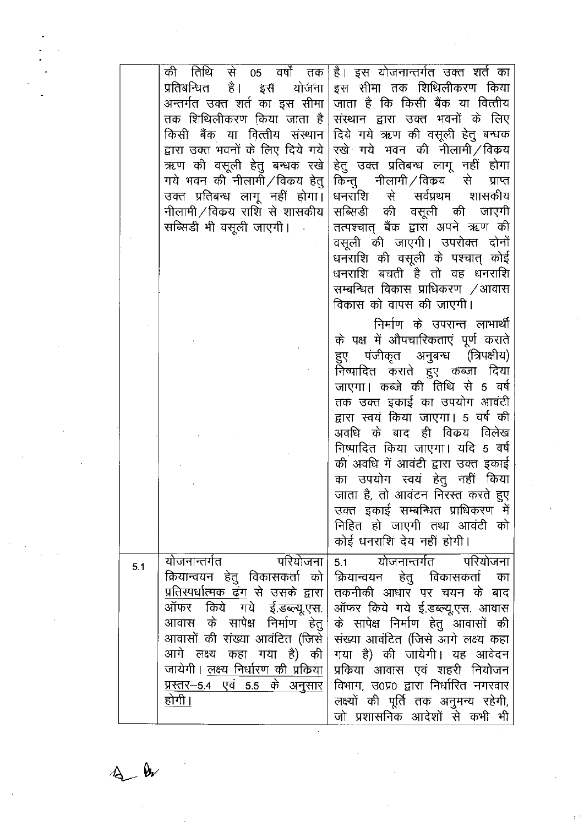|     | प्रतिबन्धित है। इसँ योजना<br>अन्तर्गत उक्त शर्त का इस सीमा<br>तक शिथिलीकरण किया जाता है<br>किसी बैंक या वित्तीय संस्थान<br>द्वारा उक्त भवनों के लिए दिये गये<br>ऋण की वसूली हेतु बन्धक रखे<br>गये भवन की नीलामी/विकय हेतु<br>उक्त प्रतिबन्ध लागू नहीं होगा।<br>नीलामी/विकय राशि से शासकीय<br>सब्सिडी भी वसूली जाएगी।               | की तिथि से 05 वर्षों तक है। इस योजनान्तर्गत उक्त शते का<br>इस सीमा तक शिथिलीकरण किया<br>जाता है कि किसी बैंक या वित्तीय<br>संस्थान द्वारा उक्त भवनों के लिए<br>दिये गये ऋण की वसूली हेतु बन्धक<br>रखे <sup>.</sup> गये भवन की नीलामी ⁄ विकय<br>हेतु उक्त प्रतिबन्ध लागू नहीं होगा<br>किन्तु नीलामी ⁄विकय से<br>प्राप्त<br>धनराशि से सर्वप्रथम शासकीय<br>सब्सिडी की वसूली की जाएगी<br>तत्पश्चात् बैंक द्वारा अपने ऋण की<br>वसूली की जाएगी। उपरोक्त दोनों<br>धनराशि की वसूली के पश्चात् कोई<br>धनराशि बचती है तो वह धनराशि<br>सम्बन्धित विकास प्राधिकरण /आवास<br>विकास को वापस की जाएगी। |
|-----|------------------------------------------------------------------------------------------------------------------------------------------------------------------------------------------------------------------------------------------------------------------------------------------------------------------------------------|----------------------------------------------------------------------------------------------------------------------------------------------------------------------------------------------------------------------------------------------------------------------------------------------------------------------------------------------------------------------------------------------------------------------------------------------------------------------------------------------------------------------------------------------------------------------------------------|
|     |                                                                                                                                                                                                                                                                                                                                    | निर्माण के उपरान्त लाभार्थी<br>के पक्ष में औपचारिकताएं पूर्ण कराते<br>हुए पंजीकृत अनुबन्ध (त्रिपक्षीय)<br>निष्पादित कराते हुए कब्जा दिया<br>जाएगा। कब्जे की तिथि से 5 वर्ष<br>तक उक्त इकाई का उपयोग आवंटी<br>द्वारा स्वयं किया जाएगा। 5 वर्ष की<br>अवधि के बाद ही विकय विलेख<br>निष्पादित किया जाएगा। यदि 5 वर्ष<br>की अवधि में आवंटी द्वारा उक्त इकाई<br>का उपयोग स्वयं हेतु नहीं किया<br>जाता है, तो आवंटन निरस्त करते हुए<br>उक्त इकाई सम्बन्धित प्राधिकरण में<br>निहित हो जाएगी तथा आवंटी को<br>कोई धनराशिं देय नहीं होगी।                                                         |
| 5.1 | योजनान्तर्गत परियोजना<br>क्रियान्वयन हेतु विकासकर्ता को<br><u>प्रतिस्पर्धात्मक ढंग से उसके द्वारा</u><br>ऑफर किये गये ई.डब्ल्यू.एस.<br>आवास के सापेक्ष निर्माण हेतु<br>आवासों की संख्या आवंटित (जिसे।<br>आगे लक्ष्य कहा गया है) की<br>जायेगी। <u>लक्ष्य निर्धारण की प्रक</u> िया<br><u>प्रस्तर–5.4 एवं 5.5 के अनुसार</u><br>होगी । | 5.1 योजनान्तर्गत परियोजना<br>क्रियान्वयन हेतु विकासकर्ता का<br>तकनीकी आधार पर चयन के बाद<br>ऑफर किये गये ई.डब्ल्यू.एस. आवास<br>के सापेक्ष निर्माण हेतु आवासों की<br>संख्या आवंटित (जिसे आगे लक्ष्य कहा<br>गया है) की जायेगी। यह आवेदन<br>प्रकिया आवास एवं शहरी नियोजन<br>विभाग, उ0प्र0 द्वारा निर्धारित नगरवार<br>लक्ष्यों की पूर्ति तक अनुमन्य रहेगी,<br>जो प्रशासनिक आदेशों से कभी भी                                                                                                                                                                                                |

 $\mathbf{\hat{b}}$  $\mathcal{A}_{\mathbf{a}}$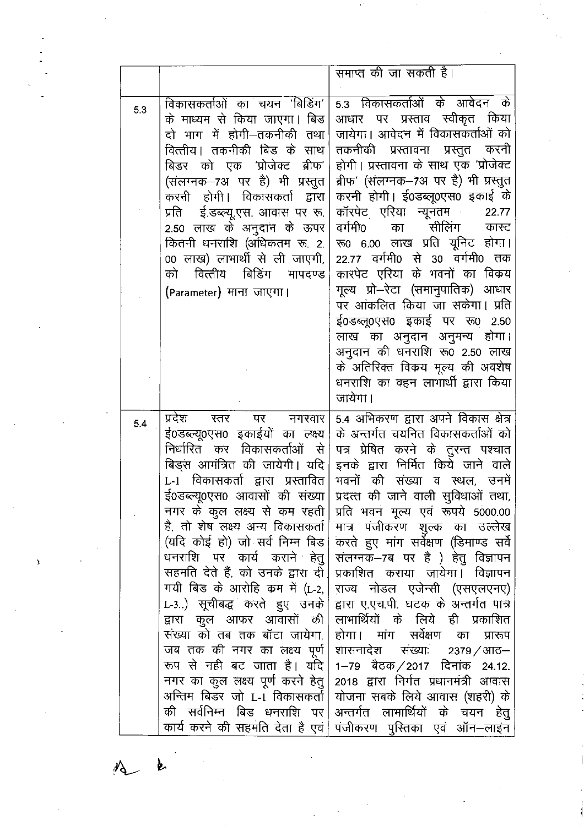| 5.3 |                                                                                                                                                                                                                                                                                                                                                                                                                                                                                                                                                                                                                                                                    |                                                                                                                                                                                                                                                                                                                                                                                                                                                                                                                                                                                                                                                                                                                                                                             |
|-----|--------------------------------------------------------------------------------------------------------------------------------------------------------------------------------------------------------------------------------------------------------------------------------------------------------------------------------------------------------------------------------------------------------------------------------------------------------------------------------------------------------------------------------------------------------------------------------------------------------------------------------------------------------------------|-----------------------------------------------------------------------------------------------------------------------------------------------------------------------------------------------------------------------------------------------------------------------------------------------------------------------------------------------------------------------------------------------------------------------------------------------------------------------------------------------------------------------------------------------------------------------------------------------------------------------------------------------------------------------------------------------------------------------------------------------------------------------------|
|     | विकासकर्ताओं का चयन 'बिडिंग'  <br>के माध्यम से किया जाएगा। बिड<br>दो भाग में होगी—तकनीकी तथा<br>वित्तीय। तकनीकी बिड के साथ<br>बिडर को एक 'प्रोजेक्ट ब्रीफ'<br>(संलग्नक-7अं पर है) भी प्रस्तुत<br>करनी होगी। विकासकर्ता द्वारा<br>प्रति ई.डब्ल्यू.एस. आवास पर रू.<br>2.50 लाख के अनुदान के ऊपर<br>कितनी धनराशि (अधिकतम रू. 2.<br>00 लाख) लाभार्थी से ली जाएगी,<br>वित्तीय बिडिंग मापदण्ड<br>को<br>(Parameter) माना जाएगा।                                                                                                                                                                                                                                           | 5.3 विकासकर्ताओं के आवेदन के<br>आधार पर प्रस्ताव स्वीकृत किया<br>जायेगा। आवेदन में विकासकर्ताओं को<br>तकनीकी प्रस्तावना प्रस्तुत करनी<br>होगी। प्रस्तावना के साथ एक 'प्रोजेक्ट<br>ब्रीफ' (संलग्नक-7अ पर है) भी प्रस्तुत<br>करनी होगी। ई0डब्लू0एस0 इकाई के<br>कॉरपेट एरिया न्यूनतम<br>22.77<br>सीलिंग<br>वर्गमी0<br>का<br>कास्ट<br>रू0 6.00 लाख प्रति यूनिट होगा।<br>22.77 वर्गमी0 से 30 वर्गमी0 तक<br>कारपेट एरिया के भवनों का विकय<br>मूल्य प्रो–रेटा (समानुपातिक) आधार<br>पर आंकलित किया जा सकेगा। प्रति<br>ई0डब्लू0एस0 इकाई पर रू0 2.50<br>लाख का अनुदान अनुमन्य होगा।<br>अनुदान की धनराशि रू0 2.50 लाख<br>के अतिरिक्त विकय मूल्य की अवशेष<br>धनराशि का वहन लाभार्थी द्वारा किया<br>जायेगा।                                                                              |
| 5.4 | प्रदेश<br>रतर<br>पर<br>नगरवार<br>ई0डब्ल्यू0एस0 इकाईयों का लक्ष्य  <br>निर्धारित कर विकासकर्ताओं से<br>बिड्स आमंत्रित की जायेगी। यदि <br>L-1 विकासकर्ता द्वारा प्रस्तावित <br>ई0डब्ल्यू0एस0 आवासों की संख्या <br>नगर के कुल लक्ष्य से कम रहती  <br>है, तो शेष लक्ष्य अन्य विकासकर्ता  <br>(यदि कोई हो) जो सर्व निम्न बिड <br>धनराशि पर कार्य कराने हेतु <br>सहमति देते हैं, को उनके द्वारा दी <br>गयी बिड के आरोहि कम में (L-2,<br>L-3) सूचीबद्ध करते हुए उनके<br>द्वारा कुल आफर आवासों की<br>संख्या को तब तक बॉटा जायेगा,  <br>जब तक की नगर का लक्ष्य पूर्ण  <br>रूप से नही बट जाता है। यदि <br>नगर का कुल लक्ष्य पूर्ण करने हेतु<br>अन्तिम बिडर जो L-1 विकासकर्ता | 5.4 अभिकरण द्वारा अपने विकास क्षेत्र<br>के अन्तर्गत चयनित विकासकर्ताओं को<br>पत्र प्रेषित करने के तुरन्त पश्चात<br>इनके द्वारा निर्मित किये जाने वाले<br>भवनों की संख्या व स्थल, उनमें<br>प्रदत्त की जाने वाली सुविधाओं तथा,<br>प्रति भवन मूल्य एवं रूपये 5000.00<br>मात्र पंजीकरण शुल्क का उल्लेख<br>करते हुए मांग सर्वेक्षण (डिमाण्ड सर्वे<br>संलग्नक–7ब पर है ) हेतु विज्ञापन<br>प्रकाशित कराया जायेगा। विज्ञापन<br>राज्य नोडल एजेन्सी (एसएलएनए)<br>द्वारा ए.एच.पी. घटक के अन्तर्गत पात्र<br>लाभार्थियों के लिये ही प्रकाशित<br>होगा। मांग सर्वेक्षण का<br>प्रारूप<br>शासनादेश संख्याः 2379/आठ–<br>1–79 बैठक⁄2017 दिनांक 24.12.<br>2018 द्वारा निर्गत प्रधानमंत्री आवास<br>योजना सबके लिये आवास (शहरी) के<br>की सर्वनिम्न बिड धनराशि पर अन्तर्गत लाभार्थियों के चयन हेतु |

 $\label{eq:2.1} \frac{1}{\sqrt{2}}\int_{\mathbb{R}^3}\frac{1}{\sqrt{2}}\left(\frac{1}{\sqrt{2}}\right)^2\frac{1}{\sqrt{2}}\left(\frac{1}{\sqrt{2}}\right)^2\frac{1}{\sqrt{2}}\left(\frac{1}{\sqrt{2}}\right)^2\frac{1}{\sqrt{2}}\left(\frac{1}{\sqrt{2}}\right)^2\frac{1}{\sqrt{2}}\left(\frac{1}{\sqrt{2}}\right)^2\frac{1}{\sqrt{2}}\frac{1}{\sqrt{2}}\frac{1}{\sqrt{2}}\frac{1}{\sqrt{2}}\frac{1}{\sqrt{2}}\frac{1}{\sqrt{2}}$ 

 $\mathcal{A}^{(1)}$  .

 $\bar{Y}$ 

 $\mathcal{L}_{\text{max}}$  and  $\mathcal{L}_{\text{max}}$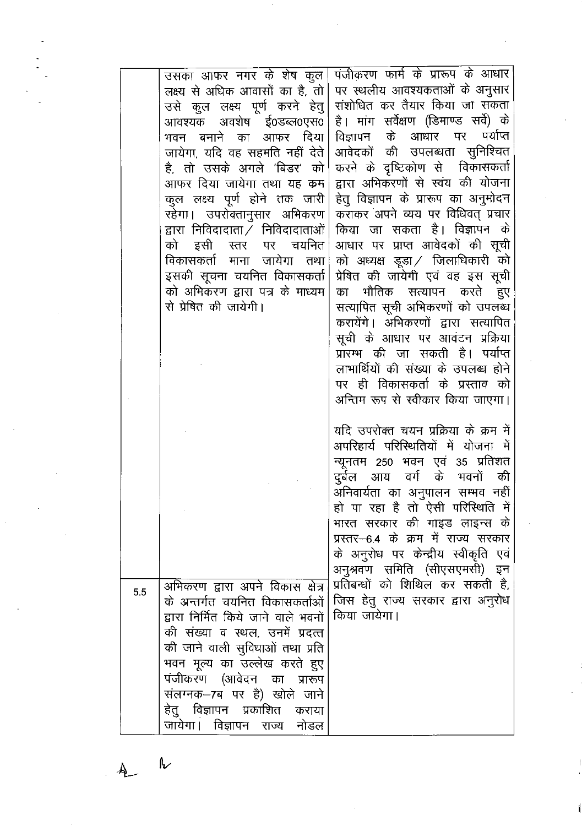|     | उसका आफर नगर के शेष कुल।                      | पंजीकरण फार्म के प्रारूप के आधार      |
|-----|-----------------------------------------------|---------------------------------------|
|     | लक्ष्य से अधिक आवासों का है, तो               | पर स्थलीय आवश्यकताओं के अनुसार        |
|     | उसे कुल लक्ष्य पूर्ण करने हेतु                | संशोधित कर तैयार किया जा सकता         |
|     | आवश्यक अवशेष ई0डब्ल0एस0                       | है। मांग सर्वेक्षण (डिमाण्ड सर्वे) के |
|     | भवन बनाने का आफर दिया।                        | विज्ञापन के आधार पर पर्याप्त          |
|     | जायेगा, यदि वह सहमति नहीं देते                | आवेदकों की उपलब्धता सुनिश्चित         |
|     | .ै, तो उसके अगले 'बिडर' को                    | करने के दृष्टिकोण से विकासकर्ता       |
|     | आफर दिया जायेगा तथा यह क्रम                   | द्वारा अभिकरणों से स्वंय की योजना     |
|     | कुल लक्ष्य पूर्ण होने तक जारी                 | हेतु विज्ञापन के प्रारूप का अनुमोदन   |
|     | रहेगा। उपरोक्तानुसार अभिकरण                   | कराकर अपने व्यय पर विधिवत् प्रचार     |
|     | द्वारा निविदादाता $\bar{\angle}$ निविदादाताओं | किया जा सकता है। विज्ञापन के          |
|     | को इसी स्तर पर चयनित                          | आधार पर प्राप्त आवेदकों की सूची       |
|     | विकासकर्ता माना जायेगा तथा                    | को अध्यक्ष डूडा / जिलाधिकारी को       |
|     | इसकी सूचना चयनित विकासकर्ता                   | प्रेषित की जायेगी एवं वह इस सूची      |
|     | को अभिकरण द्वारा पत्र के माध्यम               | का भौतिक सत्यापन करते हुए             |
|     | से प्रेषित की जायेगी।                         | सत्यापित सूची अभिकरणों को उपलब्ध      |
|     |                                               | करायेंगे। अभिकरणों द्वारा सत्यापित    |
|     |                                               | सूची के आधार पर आवंटन प्रक्रिया       |
|     |                                               | प्रारम्भ की जा सकती है। पर्याप्त      |
|     |                                               | लाभार्थियों की संख्या के उपलब्ध होने  |
|     |                                               | पर ही विकासकर्ता के प्रस्ताव को       |
|     |                                               | अन्तिम रूप से स्वीकार किया जाएगा।     |
|     |                                               |                                       |
|     |                                               | यदि उपरोक्त चयन प्रक्रिया के क्रम में |
|     |                                               | अपरिहार्य परिस्थितियों में योजना में  |
|     |                                               | न्यूनतम 250 भवन एवं 35 प्रतिशत        |
|     |                                               | दुर्बल आय वर्ग के भवनों की            |
|     |                                               | अनिवार्यता का अनुपालन सम्भव नहीं      |
|     |                                               | हो पा रहा है तो ऐसी परिस्थिति में     |
|     |                                               | भारत सरकार की गाइड लाइन्स के          |
|     |                                               | प्रस्तर-6.4 के क्रम में राज्य सरकार   |
|     |                                               | के अनुरोध पर केन्द्रीय स्वीकृति एवं   |
|     |                                               | अनुश्रवण समिति (सीएसएमसी) इन          |
| 5.5 | अभिकरण द्वारा अपने विकास क्षेत्र              | प्रतिबन्धों को शिथिल कर सकती है,      |
|     | के अन्तर्गत चयनित विकासकर्ताओं                | जिस हेतु राज्य सरकार द्वारा अनुरोध    |
|     | द्वारा निर्मित किये जाने वाले भवनों           | किया जायेगा।                          |
|     | की संख्या व स्थल, उनमें प्रदत्त               |                                       |
|     | की जाने वाली सुविधाओं तथा प्रति               |                                       |
|     | भवन मूल्य का उल्लेख करते हुए                  |                                       |
|     | पंजीकरण (आवेदन का प्रारूप                     |                                       |
|     | संलग्नक–7ब पर है) खोले जाने                   |                                       |
|     | हेतु विज्ञापन प्रकाशित<br>कराया               |                                       |
|     | जायेगा। विज्ञापन राज्य नोडल                   |                                       |

 $\overline{\mathcal{K}}$  $\frac{1}{2}$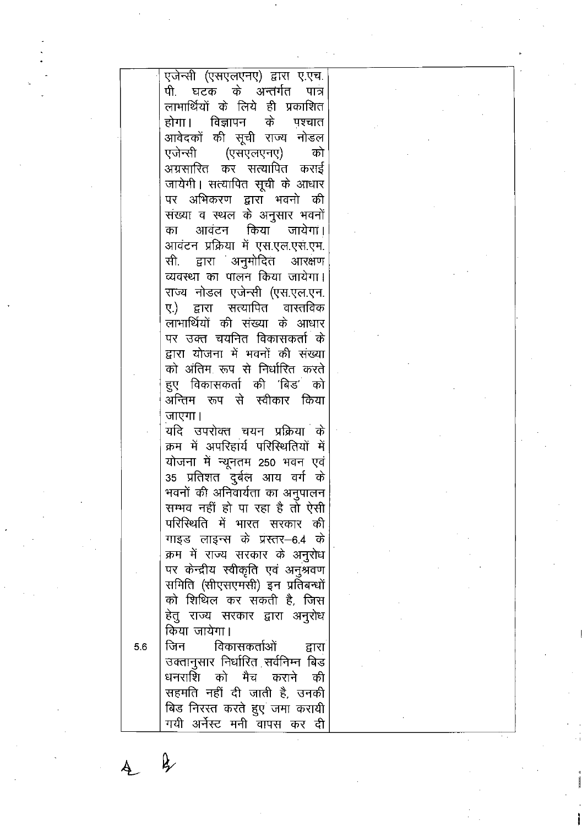|     | एजेन्सी (एसएलएनए) द्वारा ए.एच.      |  |  |
|-----|-------------------------------------|--|--|
|     | पी. घटक के अन्तर्गत पात्र           |  |  |
|     |                                     |  |  |
|     | लाभार्थियों के लिये ही प्रकाशित     |  |  |
|     | होगा। विज्ञापन<br>के<br>पश्चात      |  |  |
|     | आवेदकों की सूची राज्य नोडल          |  |  |
|     | एजेन्सी (एसएलएनए)<br>को             |  |  |
|     | अग्रसारित कर सत्यापित कराई          |  |  |
|     | जायेगी। सत्यापित सूची के आधार       |  |  |
|     |                                     |  |  |
|     | पर अभिकरण द्वारा भवनो की            |  |  |
|     | संख्या व स्थल के अनुसार भवनों       |  |  |
|     | आवंटन किया जायेगां।<br>का           |  |  |
|     | आवंटन प्रक्रिया में एस.एल.एस.एम.    |  |  |
|     | सी. द्वारा अनुमोदित आरक्षण          |  |  |
|     | व्यवस्था का पालन किया जायेगा।       |  |  |
|     |                                     |  |  |
|     | राज्य नोडल एजेन्सी (एस.एल.एन.       |  |  |
|     | सत्यापित वास्तविक<br>ए.) द्वारा     |  |  |
|     | लाभार्थियों की संख्या के आधार       |  |  |
|     | पर उक्त चयनित विकासकर्ता के         |  |  |
|     | द्वारा योजना में भवनों की संख्या    |  |  |
|     | को अंतिम रूप से निर्धारित करते      |  |  |
|     | हुए विकासकर्ता की 'बिड' को          |  |  |
|     |                                     |  |  |
|     | अन्तिम रूप से स्वीकार किया          |  |  |
|     | जाएगा।                              |  |  |
|     | यदि उपरोक्त चयन प्रक्रिया के        |  |  |
|     | क्रम में अपरिहार्य परिस्थितियों में |  |  |
|     | योजना में न्यूनतम 250 भवन एवं       |  |  |
|     | 35 प्रतिशत दुर्बल आय वर्ग के        |  |  |
|     |                                     |  |  |
|     | भवनों की अनिवार्यता का अनुपालन      |  |  |
|     | सम्भव नहीं हो पा रहा है तो ऐसी      |  |  |
|     | परिस्थिति में भारत सरकार की         |  |  |
|     | गाइड लाइन्स के प्रस्तर–6.4 के       |  |  |
|     | क्रम में राज्य सरकार के अनुरोध      |  |  |
|     | पर केन्द्रीय स्वीकृति एवं अनुश्रवण  |  |  |
|     | समिति (सीएसएमसी) इन प्रतिबन्धों     |  |  |
|     |                                     |  |  |
|     | को शिथिल कर सकती है, जिस            |  |  |
|     | हेतु राज्य सरकार द्वारा अनुरोध      |  |  |
|     | किया जायेगा।                        |  |  |
| 5.6 | विकासकर्ताओं<br>जिन<br>द्वारा       |  |  |
|     | उक्तानुसार निर्धारित सर्वनिम्न बिड  |  |  |
|     | धनराशि को मैच कराने की              |  |  |
|     |                                     |  |  |
|     | सहमति नहीं दी जाती है, उनकी         |  |  |
|     | बिड निरस्त करते हुए जमा करायी       |  |  |
|     | गयी अर्नेस्ट मनी वापस कर दी         |  |  |
|     |                                     |  |  |
|     |                                     |  |  |
|     |                                     |  |  |
|     |                                     |  |  |
|     |                                     |  |  |
|     |                                     |  |  |
|     |                                     |  |  |

 $\frac{1}{\sqrt{2}}$ 

 $\label{eq:2} \frac{1}{\sqrt{2}}\int_{\mathbb{R}^3}\frac{1}{\sqrt{2}}\left(\frac{1}{\sqrt{2}}\right)^2\frac{1}{\sqrt{2}}\left(\frac{1}{\sqrt{2}}\right)^2.$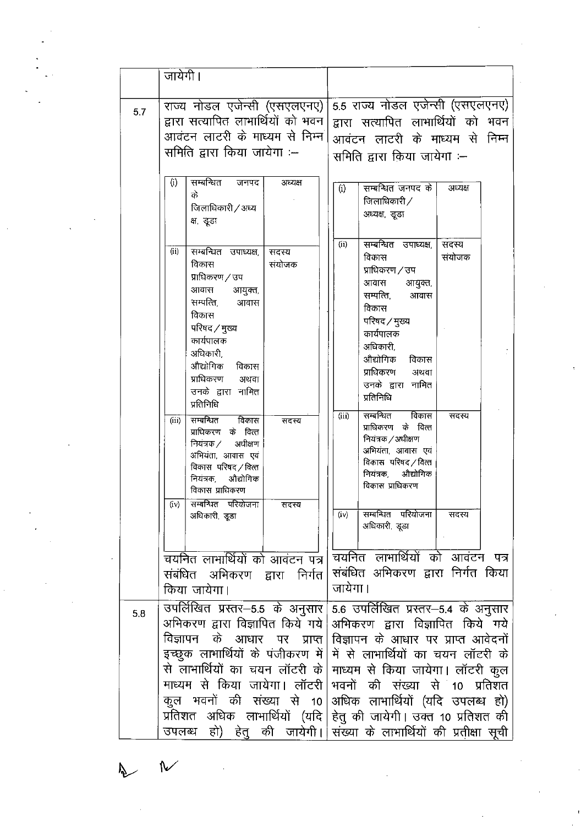|     | जायेगी।                                                                                                                                                                                                                                       |                                                                                                                                                                                                                                                                                               |
|-----|-----------------------------------------------------------------------------------------------------------------------------------------------------------------------------------------------------------------------------------------------|-----------------------------------------------------------------------------------------------------------------------------------------------------------------------------------------------------------------------------------------------------------------------------------------------|
| 5.7 | राज्य नोडल एजेन्सी (एसएलएनए)<br>द्वारा सत्यापित लाभार्थियों को भवन  <br>आवंटन लाटरी के माध्यम से निम्न <br>समिति द्वारा किया जायेगा :--                                                                                                       | 5.5 राज्य नोडल एजेन्सी (एसएलएनए)<br>द्वारा सत्यापित लाभार्थियों को भवन<br>आवंटन लाटरी के माध्यम से निम्न<br>समिति द्वारा किया जायेगा :--                                                                                                                                                      |
|     | सम्बन्धित<br>(i)<br>जनपद<br>अध्यक्ष<br>के<br>जिलाधिकारी / अध्य<br>क्ष, डूडा                                                                                                                                                                   | सम्बन्धित जनपद के<br>(i)<br>अध्यक्ष<br>जिलाधिकारी $/$<br>अध्यक्ष, डूडा                                                                                                                                                                                                                        |
|     | (i)<br>सम्बन्धित उपाध्यक्ष,<br>सदस्य<br>विकास<br>संयोजक<br>प्राधिकरण / उप<br>आवास<br>आयुक्त,<br>सम्पत्ति,<br>आवास<br>विकास<br>परिषद / मुख्य<br>कार्यपालक<br>अधिकारी,<br>औद्योगिक<br>विकास<br>प्राधिकरण अथवा<br>उनके द्वारा नामित<br>प्रतिनिधि | सम्बन्धित उपाध्यक्ष,<br>(ii)<br>सदस्य<br>सयोजक<br>विकास<br>प्राधिकरण / उप<br>आयुक्त<br>आवास<br>सम्पत्ति,<br>आवास<br>विकास<br>परिषद / मुख्य<br>कार्यपालक<br>अधिकारी,<br>औद्योगिक<br>विकास<br>प्राधिकरण<br>अथवा<br>उनके द्वारा नामित<br>प्रतिनिधि                                               |
|     | विकास<br>सम्बन्धित<br>(iii)<br>सदस्य<br>प्राधिकरण के वित्त<br>नियंत्रक ⁄<br>अधीक्षण<br>अभियंता, आवास एवं<br>विकास परिषद / वित्त<br>औद्योगिक<br>नियंत्रक,<br>विकास प्राधिकरण                                                                   | विकास<br>सम्बन्धित<br>(iii)<br>सदस्य<br>प्राधिकरण के वित्त<br>नियंत्रक / अधीक्षण<br>अभियंता, आवास एवं<br>विकास परिषद / वित्त<br>नियंत्रक<br>औद्योगिक<br>विकास प्राधिकरण                                                                                                                       |
|     | (iv) सम्बन्धित परियोजना<br>सदस्य<br>अधिकारी, डूडा                                                                                                                                                                                             | सम्बन्धित परियोजना<br>$(i \vee)$<br>सदस्य<br>अधिकारी, डूडा                                                                                                                                                                                                                                    |
|     | चयनित लाभार्थियों को आवंटन पत्र <br>संबंधित अभिकरण द्वारा निर्गत <br>किया जायेगा।                                                                                                                                                             | चयनित लाभार्थियों को आवंटन पत्र<br>संबंधित अभिकरण द्वारा निर्गत किया<br>जायेगा।                                                                                                                                                                                                               |
| 5.8 | अभिकरण द्वारा विज्ञापित किये गये <br>विज्ञापन के आधार पर प्राप्त  <br>से लाभार्थियों का चयन लॉटरी के <br>माध्यम से किया जायेगा। लॉटरी                                                                                                         | उपर्लिखित प्रस्तर–5.5 के अनुसार   5.6 उपर्लिखित प्रस्तर–5.4 के अनुसार<br>अभिकरण द्वारा विज्ञापित किये गये<br>विज्ञापन के आधार पर प्राप्त आवेदनों<br>इच्छुक लाभार्थियों के पंजीकरण में में से लाभार्थियों का चयन लॉटरी के<br>माध्यम से किया जायेगा। लॉटरी कुल<br>भवनों की संख्या से 10 प्रतिशत |
|     | कुल भवनों की संख्या से 10  <br>उपलब्ध                                                                                                                                                                                                         | अधिक लाभार्थियों (यदि उपलब्ध हो)<br>प्रतिशत  अधिक  लाभार्थियों  (यदि   हेतु की जायेगी   उक्त 10 प्रतिशत की<br>हो) हेतु की जायेगी। संख्या के लाभार्थियों की प्रतीक्षा सूची                                                                                                                     |

 $\tilde{\mathcal{S}}$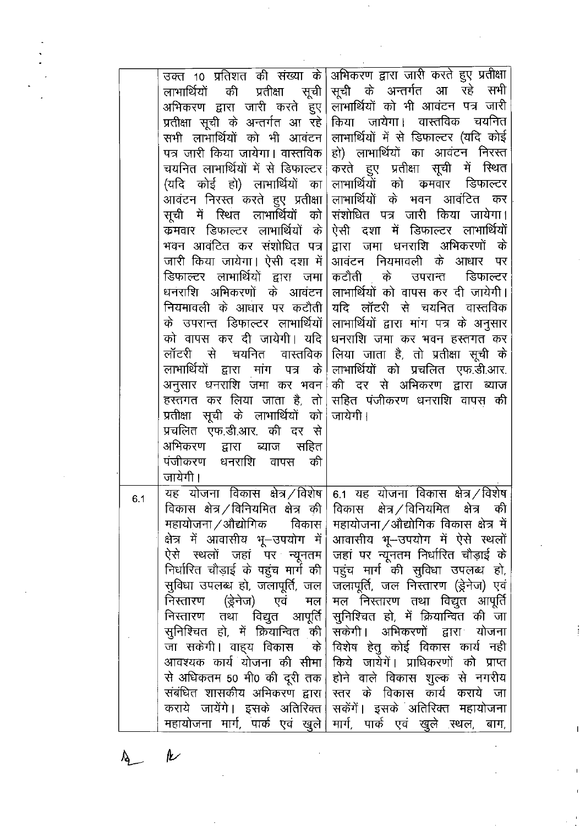|     |                                                        | उक्त 10 प्रतिशत की संख्या के अभिकरण द्वारा जारी करते हुए प्रतीक्षा                                                     |
|-----|--------------------------------------------------------|------------------------------------------------------------------------------------------------------------------------|
|     | लाभार्थियो                                             | की प्रतीक्षा सूची सूची के अन्तर्गत आ रहे सभी                                                                           |
|     |                                                        | अभिकरण द्वारा जारी करते हुए लाभार्थियों को भी आवंटन पत्र जारी                                                          |
|     |                                                        | प्रतीक्षा सूची के अन्तर्गत आ रहे किया  जायेगा।  वास्तविक  चयनित                                                        |
|     |                                                        | सभी लाभार्थियों को भी आवंटन लाभार्थियों में से डिफाल्टर (यदि कोई                                                       |
|     |                                                        | पत्र जारी किया जायेगा। वास्तविक हो) लाभार्थियों का आवंटन निरस्त                                                        |
|     |                                                        | चयनित लाभार्थियों में से डिफाल्टर करते हुए प्रतीक्षा सूची में स्थित                                                    |
|     |                                                        | (यदि कोई हो) लाभार्थियों का लाभार्थियों को कमवार डिफाल्टर                                                              |
|     |                                                        | आवंटन निरस्त करते हुए प्रतीक्षा लाभार्थियों के भवन आवंटित कर                                                           |
|     |                                                        | सूची में रिथंत लाभार्थियों को संशोधित पत्र जारी किया जायेगा।                                                           |
|     | क्रमवार डिफाल्टर लाभार्थियों के                        | ऐसी दशा में डिफाल्टर लाभार्थियों                                                                                       |
|     |                                                        | भवन आवंटित कर संशोधित पत्र द्वारा जमा धनराशि अभिकरणों के                                                               |
|     | जारी किया जायेगा। ऐसी दशा में  आवंटन) नियमावली के आधार | पर                                                                                                                     |
|     | डिफाल्टर लाभार्थियों द्वारा जमा कटौती के               | डिफाल्टर<br>उपरान्त                                                                                                    |
|     |                                                        | धनराशि  अभिकरणों  के  आवंटन   लाभार्थियों को वापस कर दी जायेगी                                                         |
|     |                                                        | नियमावली के आधार पर कटौती यदि लॉटरी से चयनित वास्तविक                                                                  |
|     |                                                        | के उपरान्त डिफाल्टर लाभार्थियों लाभार्थियों द्वारा मांग पत्र के अनुसार                                                 |
|     |                                                        | को वापस कर दी जायेगी। यदि धनराशि जमा कर भवन हस्तगत कर                                                                  |
|     | लॉटरी                                                  | से  चयनित  वास्तविक लिया जाता है, तो प्रतीक्षा सूची के                                                                 |
|     |                                                        | लाभार्थियों द्वारा मांग पत्र के लाभार्थियों को प्रचलित एफ.डी.आर.                                                       |
|     |                                                        | अनुसार धनराशि जमा कर भवन $\mid$ की दर से अभिकरण द्वारा ब्याज                                                           |
|     |                                                        | हस्तगत कर लिया जाता है, तो सहित पंजीकरण धनराशि वापस की                                                                 |
|     | प्रतीक्षा सूची के लाभार्थियों को जायेगी।               |                                                                                                                        |
|     | प्रचलित एफ.डी.आर. की दर से                             |                                                                                                                        |
|     | अभिकरण द्वारा ब्याज सहित                               |                                                                                                                        |
|     | पंजीकरण धनराशि वापस की                                 |                                                                                                                        |
|     | जायेगी।                                                |                                                                                                                        |
| 6.1 |                                                        | यह योजना विकास क्षेत्र /विशेष 6.1 यह योजना विकास क्षेत्र /विशेष                                                        |
|     |                                                        | विकास क्षेत्र ⁄विनियमित क्षेत्र की विकास क्षेत्र ⁄विनियमित क्षेत्र की                                                  |
|     |                                                        | महायोजना $\angle$ औद्योगिक विकास महायोजना $\angle$ औद्योगिक विकास क्षेत्र में $\mid$                                   |
|     | क्षेत्र में आवासीय भू–उपयोग में $\mid$                 | आवासीय भू--उपयोग में ऐसे स्थलों                                                                                        |
|     | ऐसे स्थलों जहां पर न्यूनतम                             | जहां पर न्यूनतम निर्धारित चौड़ाई के                                                                                    |
|     |                                                        | निर्धारित चौड़ाई के पहुंच मार्ग की $\, \big  \,$ पहुंच  मार्ग  की  सुविधा  उपलब्ध  हो, $\,$                            |
|     | सुविधा उपलब्ध हो, जलापूर्ति, जल                        | जलापूर्ति, जल निस्तारण (ड्रेनेज) एवं<br>निस्तारण (ड्रेनेज) एवं मल $ \hspace{-.02in}+ $ मल निस्तारण तथा विद्युत आपूर्ति |
|     |                                                        | निस्तारण तथा विद्युत आपूर्ति सुनिश्चित हो, में क्रियान्वित की जा                                                       |
|     |                                                        | सुनिश्चित हो, में क्रियान्वित की सकेगी। अभिकरणों द्वारा योजना                                                          |
|     |                                                        | जा सकेगी। वाह्य विकास के विशेष हेतु कोई विकास कार्य नही                                                                |
|     |                                                        | आवश्यक कार्य योजना की सीमा  किये जायेगें। प्राधिकरणों को प्राप्त                                                       |
|     |                                                        | से अधिकतम 50 मी0 की दूरी तक होने वाले विकास शुल्क से नगरीय                                                             |
|     |                                                        | संबंधित शासकीय अभिकरण द्वारा  स्तर के विकास कार्य कराये जा                                                             |
|     |                                                        | कराये जायेंगे। इसके अतिरिक्त सकेंगें। इसके अतिरिक्त महायोजना                                                           |
|     |                                                        | महायोजना मार्ग, पार्क एवं खुले $\mid$ मार्ग, पार्क एवं खुले स्थल, बाग, $\mid$                                          |

 $\overline{\phantom{a}}$ 

 $\lambda$ 

 $\mathbf{k}$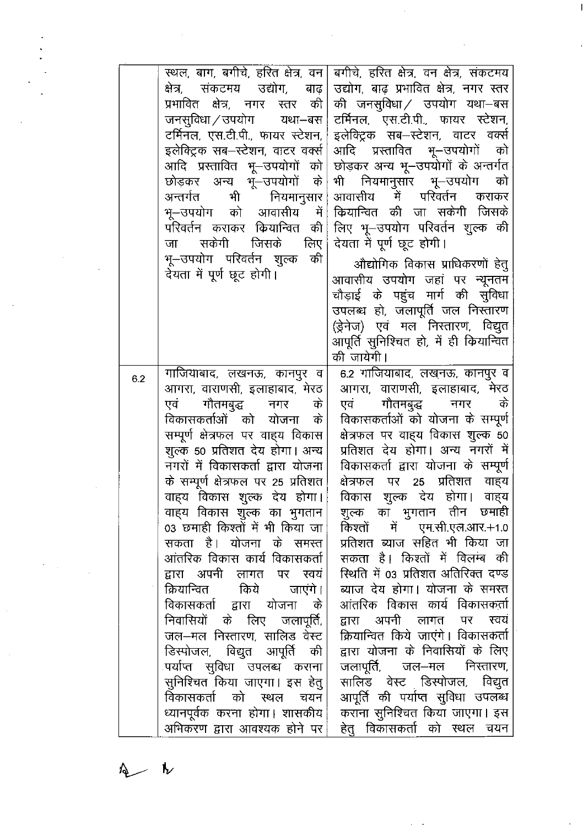|     | स्थल, बाग, बगीचे, हरित क्षेत्र, वन <br>क्षेत्र, संकटमय उद्योग, बाढ़ <br>प्रभावित क्षेत्र, नगर स्तर की <br>जनसुविधा ⁄ उपयोग<br>यथा–बस<br>टर्मिनल, एस.टी.पी., फायर स्टेशन,<br>इलेक्ट्रिक सब—स्टेशन, वाटर वर्क्स<br>आदि प्रस्तावित भू—उपयोगों को $\hspace{0.1mm}\big\vert$<br>छोड़कर अन्य भू—उपयोगों के<br>भी नियमानुसार <br>अन्तर्गत<br>भू–उपयोग को आवासीय में <br>परिवर्तन कराकर कियान्वित<br>की  <br>सकेगी<br>जिसके<br>लिए  <br>जा<br>भू–उपयोग परिवर्तन शुल्क<br>की<br>देयता में पूर्ण छूट होगी।                                                                                                                                                                                                                                                                                           | बगीचे, हरित क्षेत्र, वन क्षेत्र, संकटमय<br>उद्योग, बाढ़ प्रभावित क्षेत्र, नगर स्तर<br>की जनसुविधा / उपयोग यथा–बस<br>टर्मिनल, एस.टी.पी., फायर स्टेशन,<br>इलेक्ट्रिक सब—स्टेशन, वाटर वर्क्स<br>आदि प्रस्तावित भू—उपयोगों<br>को<br>छोड़कर अन्य भू–उपयोगों के अन्तर्गत<br>भी नियमानुसार भू–उपयोग<br>को<br>आवासीय में परिवर्तन<br>कराकर<br>कियान्वित की जा सकेगी जिसके<br>लिए भू–उपयोग परिवर्तन शुल्क की<br>देयता में पूर्ण छूट होगी।<br>औद्योगिक विकास प्राधिकरणों हेतु<br>आवासीय उपयोग जहां पर न्यूनतम<br>चौड़ाई के पहुंच मार्ग की सुविधा<br>उपलब्ध हो, जलापूर्ति जल निस्तारण<br>(ड्रेनेज) एवं मल निस्तारण, विद्युत<br>आपूर्ति सुनिश्चित हो, में ही कियान्वित<br>की जायेगी।                                                                                                                                                                           |
|-----|--------------------------------------------------------------------------------------------------------------------------------------------------------------------------------------------------------------------------------------------------------------------------------------------------------------------------------------------------------------------------------------------------------------------------------------------------------------------------------------------------------------------------------------------------------------------------------------------------------------------------------------------------------------------------------------------------------------------------------------------------------------------------------------------|----------------------------------------------------------------------------------------------------------------------------------------------------------------------------------------------------------------------------------------------------------------------------------------------------------------------------------------------------------------------------------------------------------------------------------------------------------------------------------------------------------------------------------------------------------------------------------------------------------------------------------------------------------------------------------------------------------------------------------------------------------------------------------------------------------------------------------------------------|
| 6.2 | गाजियाबाद, लखनऊ, कानपुर व<br>आगरा, वाराणसी, इलाहाबाद, मेरठ<br>गौतमबुद्ध नगर<br>एवं<br>के<br>विकासकर्ताओं को योजना<br>के<br>सम्पूर्ण क्षेत्रफल पर वाह्य विकास<br>शुल्क 50 प्रतिशत देय होगा। अन्य<br>नगरों में विकासकर्ता द्वारा योजना<br>के सम्पूर्ण क्षेत्रफल पर 25 प्रतिशत<br>वाहय विकास शुल्क देय होगा।<br>वाह्य विकास शुल्क का भुगतान<br>03 छमाही किश्तों में भी किया जा<br>सकता है। योजना के समस्त<br>आंतरिक विकास कार्य विकासकर्ता<br>द्वारा अपनी लागत पर स्वयं <br>क्रियान्वित किये जाएंगे।<br>विकासकर्ता द्वारा योजना के<br>निवासियों के लिए जलापूर्ति,<br>जल—मल निस्तारण, सालिड वेस्ट<br>डिस्पोजल, विद्युत आपूर्ति की<br>पर्याप्त सुविधा उपलब्ध कराना<br>सुनिश्चित किया जाएगा। इस हेतु <br>विकासकर्ता को स्थल चयन<br>ध्यानपूर्वक करना होगा। शासकीय<br>अभिकरण द्वारा आवश्यक होने पर | 6.2 गाजियाबाद, लखनऊ, कानपुर व<br>आगरा, वाराणसी, इलाहाबाद, मेरठ<br>गौतमबुद्ध नगर<br>के<br>एवं प<br>विकासकर्ताओं को योजना के सम्पूर्ण<br>क्षेत्रफल पर वाह्य विकास शुल्क 50<br>प्रतिशत देय होगा। अन्य नगरों में<br>विकासकर्ता द्वारा योजना के सम्पूर्ण<br>पर 25 प्रतिशत वाहय<br>क्षेत्रफल<br>विकास शुल्क देय होगा। वाह्य<br>शुल्क का भुगतान तीन छमाही<br>किश्तों में एम.सी.एल.आर.+1.0<br>प्रतिशत ब्याज सहित भी किया जा<br>सकता है। किश्तों में विलम्ब की<br>स्थिति में 03 प्रतिशत अतिरिक्त दण्ड<br>ब्याज देय होगा। योजना के समस्त<br>आंतरिक विकास कार्य विकासकर्ता<br>अपनी लागत पर<br>स्वयं<br>द्वारा<br>क्रियान्वित किये जाएंगे। विकासकर्ता<br>द्वारा योजना के निवासियों के लिए<br>जलापूर्ति, जल—मल निस्तारण,<br>सालिड वेस्ट डिस्पोजल, विद्युत<br>आपूर्ति की पर्याप्त सुविधा उपलब्ध<br>कराना सुनिश्चित किया जाएगा। इस<br>हेतु विकासकर्ता को स्थल चयन |

 $\overline{\phantom{a}}$ 仪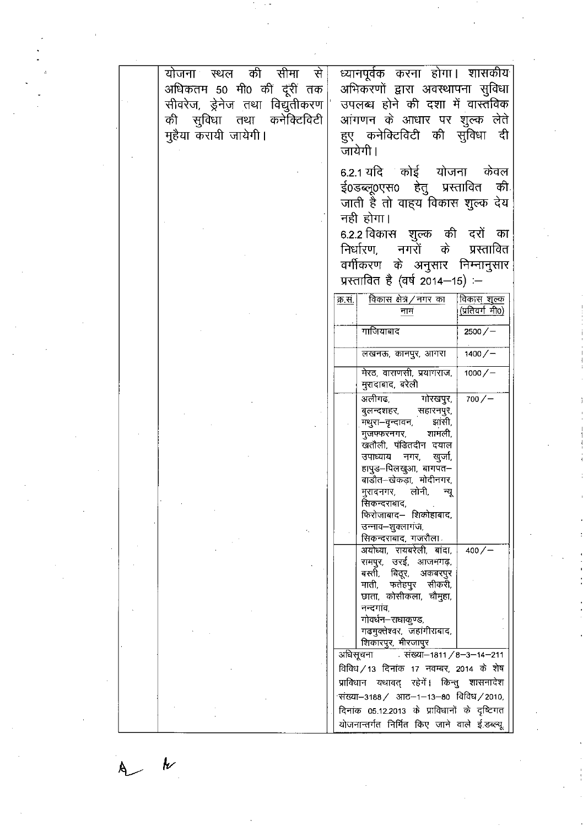|  | योजना स्थल<br>अधिकतम 50 मी0 कीं दूंरीं तक<br>सीवरेज, ड्रेनेज तथा विद्युतीकरण | की<br>सीमा | से | ध्यानपूर्वक करना होगा। शासकीय<br>अभिकरणों द्वारा अवस्थापना सुविधा<br>उपलब्ध होने की दशा में वास्तविक                                |
|--|------------------------------------------------------------------------------|------------|----|-------------------------------------------------------------------------------------------------------------------------------------|
|  | की सुविधा तथा कनेक्टिविटी<br>मुहैया करायी जायेगी।                            |            |    | आंगणन के आधार पर शुल्क लेते<br>हुए कनेक्टिविटी की सुविधा दी<br>जायेगी।                                                              |
|  |                                                                              |            |    | 6.2.1 यदि कोई योजना<br>केवल<br>ई0डब्लू0एस0 हेतु प्रस्तावित<br>की.<br>जाती है तो वाह्य विकास शुल्क देय                               |
|  |                                                                              |            |    | नही होगा।<br>6.2.2 विकास शुल्क की दरों का                                                                                           |
|  |                                                                              |            |    | नगरों के<br>निर्धारण,<br>प्रस्तावित<br>वर्गीकरण के अनुसार निम्नानुसार<br>प्रस्तावित है (वर्ष 2014-15) :-                            |
|  |                                                                              |            |    | विकास क्षेत्र/नगर का<br><u>विकास शुल्क</u><br>क्र सं.<br>(प्रतिवर्गमी0)<br>नामं                                                     |
|  |                                                                              |            |    | गाजियाबाद<br>$2500 / -$                                                                                                             |
|  |                                                                              |            |    | लखनऊ, कानपुर, आगरा<br>$1400/-$                                                                                                      |
|  |                                                                              |            |    | मेरठ, वाराणसी, प्रयागराज,<br>$1000/-$<br>मुरादाबाद, बरेली                                                                           |
|  |                                                                              |            |    | अलीगढ,<br>गोरखपुर,<br>700/<br>बुलन्दशहर,<br>सहारनपुर,<br>झांसी<br>मथुरा–वृन्दावन,<br>शामली,<br>मुजफ्फरनगर                           |
|  |                                                                              |            |    | खतौली, पंडितदीन दयाल<br>उपाध्याय<br>नगर,<br>खुजो.<br>हापुड–पिलखुआ, बागपत–<br>बाडौत-खेकड़ा, मोदीनगर,                                 |
|  |                                                                              |            |    | मुरादनगर, लोनी,<br>न्यू<br>सिकन्दराबाद,<br>फिरोजाबाद– शिकोहाबाद,<br>उन्नाव–शुक्लागज,                                                |
|  |                                                                              |            |    | सिकन्दराबाद, गजरौला<br>अयोध्या, रायबरेली, बांदा,<br>$400/-$                                                                         |
|  |                                                                              |            |    | रामपुर, उरई, आजमगढ़,<br>बस्ती,<br>बिदूर,<br>अकबरपुर<br>माती, फतेहपुर सीकरी,<br>छाता, कोसीकला, चौमुहा,                               |
|  |                                                                              |            |    | नन्दगांव,<br>गोवर्धन–राधाकुण्ड,<br>गढमुक्तेश्वर, जहांगीराबाद,<br>शिकारपुर, मीरजापुर                                                 |
|  |                                                                              |            |    | . संख्या-1811 / 8-3-14-211<br>अधिसूचना<br>विविध / 13 दिनांक 17 नवम्बर, 2014 के शेष<br>प्राविधान यथावत् रहेगें। किन्तु शासनादेश      |
|  |                                                                              |            |    | संख्या–3188/ आठ–1–13–80 विविध/2010,<br>दिनांक 05.12.2013 के प्राविधानों के दृष्टिगत<br>योजनान्तर्गत निर्मित किए जाने वाले ई.डब्ल्यू |

 $\label{eq:2} \frac{1}{\sqrt{2}}\sum_{i=1}^n\frac{1}{\sqrt{2}}\sum_{i=1}^n\frac{1}{\sqrt{2}}\sum_{i=1}^n\frac{1}{\sqrt{2}}\sum_{i=1}^n\frac{1}{\sqrt{2}}\sum_{i=1}^n\frac{1}{\sqrt{2}}\sum_{i=1}^n\frac{1}{\sqrt{2}}\sum_{i=1}^n\frac{1}{\sqrt{2}}\sum_{i=1}^n\frac{1}{\sqrt{2}}\sum_{i=1}^n\frac{1}{\sqrt{2}}\sum_{i=1}^n\frac{1}{\sqrt{2}}\sum_{i=1}^n\frac{1$ 

 $\label{eq:2} \begin{pmatrix} 1 & 0 & 0 \\ 0 & 1 & 0 \\ 0 & 0 & 0 \\ 0 & 0 & 0 \\ 0 & 0 & 0 \\ 0 & 0 & 0 \\ 0 & 0 & 0 \\ 0 & 0 & 0 & 0 \\ 0 & 0 & 0 & 0 \\ 0 & 0 & 0 & 0 \\ 0 & 0 & 0 & 0 & 0 \\ 0 & 0 & 0 & 0 & 0 \\ 0 & 0 & 0 & 0 & 0 \\ 0 & 0 & 0 & 0 & 0 & 0 \\ 0 & 0 & 0 & 0 & 0 & 0 \\ 0 & 0 & 0 & 0 & 0 & 0 & 0 \\ 0 & 0 &$ 

 $\label{eq:2} \frac{1}{2} \int_{\mathbb{R}^3} \frac{1}{\sqrt{2}} \, \mathrm{d} \mu \, \mathrm{d} \mu \, \mathrm{d} \mu \, \mathrm{d} \mu \, \mathrm{d} \mu \, \mathrm{d} \mu \, \mathrm{d} \mu \, \mathrm{d} \mu \, \mathrm{d} \mu \, \mathrm{d} \mu \, \mathrm{d} \mu \, \mathrm{d} \mu \, \mathrm{d} \mu \, \mathrm{d} \mu \, \mathrm{d} \mu \, \mathrm{d} \mu \, \mathrm{d} \mu \, \mathrm{d} \mu \, \mathrm{d} \mu \, \mathrm{d} \mu \, \mathrm$ 

 $\label{eq:2.1} \frac{1}{2} \sum_{i=1}^n \frac{1}{2} \sum_{j=1}^n \frac{1}{2} \sum_{j=1}^n \frac{1}{2} \sum_{j=1}^n \frac{1}{2} \sum_{j=1}^n \frac{1}{2} \sum_{j=1}^n \frac{1}{2} \sum_{j=1}^n \frac{1}{2} \sum_{j=1}^n \frac{1}{2} \sum_{j=1}^n \frac{1}{2} \sum_{j=1}^n \frac{1}{2} \sum_{j=1}^n \frac{1}{2} \sum_{j=1}^n \frac{1}{2} \sum_{j=1}^n \frac{$ 

 $A$ 

 $\frac{1}{2}$ 

 $\label{eq:2.1} \frac{1}{2}\int_{\mathbb{R}^3}\frac{1}{\sqrt{2}}\left(\frac{1}{\sqrt{2}}\right)^2\frac{1}{\sqrt{2}}\left(\frac{1}{\sqrt{2}}\right)^2\frac{1}{\sqrt{2}}\left(\frac{1}{\sqrt{2}}\right)^2.$ 

 $\mathcal{L}_{\text{max}}$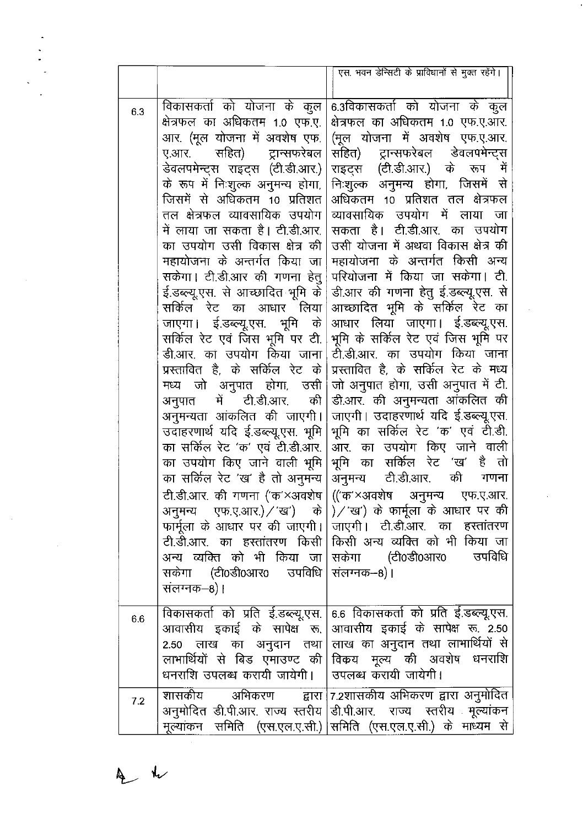|     |                                                                                                                                                                                                                                                                                                                                                                                                                                                                                                                                                                                                                                                                                                                                                                                                                                                                                               | एस. भवन डेन्सिटी के प्राविधानों से मुक्त रहेंगे।                                                                                                                                                                                                                                                                                                                                                                                                                                                                                                                                                                                                                                                                                                                                                                                                                                                                                                                                                                                                                                                                                                                                                                                                           |
|-----|-----------------------------------------------------------------------------------------------------------------------------------------------------------------------------------------------------------------------------------------------------------------------------------------------------------------------------------------------------------------------------------------------------------------------------------------------------------------------------------------------------------------------------------------------------------------------------------------------------------------------------------------------------------------------------------------------------------------------------------------------------------------------------------------------------------------------------------------------------------------------------------------------|------------------------------------------------------------------------------------------------------------------------------------------------------------------------------------------------------------------------------------------------------------------------------------------------------------------------------------------------------------------------------------------------------------------------------------------------------------------------------------------------------------------------------------------------------------------------------------------------------------------------------------------------------------------------------------------------------------------------------------------------------------------------------------------------------------------------------------------------------------------------------------------------------------------------------------------------------------------------------------------------------------------------------------------------------------------------------------------------------------------------------------------------------------------------------------------------------------------------------------------------------------|
| 6.3 | क्षेत्रफल का अधिकतम 1.0 एफ.ए.  <br>आर. (मूल योजना में अवशेष एफ.  <br>ए.आर. सहित) ट्रान्सफरेबल<br>डेवलपमेन्ट्स राइट्स (टी.डी.आर.) <br>के रूप में निःशुल्क अनुमन्य होगा,  <br>जिसमें से अधिकतम 10 प्रतिशत  <br>तल क्षेत्रफल व्यावसायिक उपयोग  <br>में लाया जा सकता है। टी.डी.आर.  <br>का उपयोग उसी विकास क्षेत्र की  <br>महायोजना के अन्तर्गत किया जा <br>सकेगा। टी.डी.आर की गणना हेतु<br>ई.डब्ल्यू.एस. से आच्छादित भूमि के  <br>सर्किल रेट का आधार लिया <br>जाएगा। ई.डब्ल्यू.एस. भूमि के<br>सर्किल रेट एवं जिस भूमि पर टी.<br>डी.आर. का उपयोग किया जाना <br>प्रस्तावित है, के सर्किल रेट के <br>मध्य जो अनुपात होगा, उसी <br>अनुपात में टी.डी.आर. की  <br>अनुमन्यता आंकलित की जाएगी। <br>उदाहरणार्थ यदि ई.डब्ल्यू.एस. भूमि  <br>का सर्किल रेट 'क' एवं टी.डी.आर.  <br>का उपयोग किए जाने वाली भूमि  <br>का सर्किल रेट 'ख' है तो अनुमन्य  <br>सकेगा (टी0डी0आर0 उपविधि   संलग्नक–8)।<br>सलग्नक–8)। | विकासकर्ता को योजना के कुल 6.3विकासकर्ता को योजना के कुल<br>क्षेत्रफल का अधिकतम 1.0 एफ.ए.आर.<br>(मूल योजना में अवशेष एफ.ए.आर.<br>सहित) ट्रान्सफरेबल डेवलपमेन्ट्स<br>राइट्स (टी.डी.आर.) के रूप में<br>निःशुल्क अनुमन्य होगा, जिसमें से<br>अधिकतम 10 प्रतिशत तल क्षेत्रफल<br>व्यावसायिक उपयोग में लाया<br>जा<br>सकता है। टी.डी.आर. का उपयोग<br>उसी योजना में अथवा विकास क्षेत्र की<br>महायोजना के अन्तर्गत किसी अन्य<br>परियोजना में किया जा सकेगा। टी.<br>डी.आर की गणना हेतु ई.डब्ल्यू.एस. से<br>आच्छादित भूमि के सर्किल रेट का<br>आधार लिया जाएगा। ई.डब्ल्यू.एस.<br>भूमि के सर्किल रेट एवं जिस भूमि पर<br>टी.डी.आर. का उपयोग किया जाना<br>प्रस्तावित है, के सर्किल रेट के मध्य<br>जो अनुपात होगा, उसी अनुपात में टी.<br>डी.आर. की अनुमन्यता आंकलित की<br>जाएगी। उदाहरणार्थ यदि ई.डब्ल्यू.एस.<br>भूमि का सर्किल रेट 'क' एवं टी.डी.<br>आर. का उपयोग किए जाने वाली<br>भूमि का सर्किल रेट 'ख' है तो<br>अनुमन्य टी.डी.आर.<br>की<br>गणना<br>टी.डी.आर. की गणना ('क'×अवशेष   (('क'×अवशेष अनुमन्य एफ.ए.आर.<br>अनुमन्य एफ.ए.आर.)/'ख') के  )/'ख') के फार्मूला के आधार पर की<br>फार्मूला के आधार पर की जाएगी।   जाएगी। टी.डी.आर. का हस्तांतरण<br>टी.डी.आर. का हस्तांतरण किसी किसी अन्य व्यक्ति को भी किया जा<br>अन्य व्यक्ति को भी किया जा सकेगा   (टी0डी0आर0   उपविधि |
| 6.6 | धनराशि उपलब्ध करायी जायेगी।   उपलब्ध करायी जायेगी।                                                                                                                                                                                                                                                                                                                                                                                                                                                                                                                                                                                                                                                                                                                                                                                                                                            | विकासकर्ता को प्रति ई.डब्ल्यू.एस. 6.6 विकासकर्ता को प्रति ई.डब्ल्यू.एस.<br>आवासीय इकाई के सापेक्ष रू. आवासीय इकाई के सापेक्ष रू. 2.50<br>2.50  लाख  का  अनुदान  तथा  लाख का अनुदान तथा लाभार्थियों से<br>लाभार्थियों से बिड एँमाउण्ट की विकय मूल्य की अवशेष धनराशि                                                                                                                                                                                                                                                                                                                                                                                                                                                                                                                                                                                                                                                                                                                                                                                                                                                                                                                                                                                         |
| 7.2 |                                                                                                                                                                                                                                                                                                                                                                                                                                                                                                                                                                                                                                                                                                                                                                                                                                                                                               | शासकीय अभिकरण द्वारा 7.2शासकीय <sup>9</sup> अभिकरणं द्वारा अनुमोदित<br>अनुमोदित डी.पी.आर. राज्य स्तरीय डी.पी.आर.  राज्य  स्तरीय  मूल्यांकन<br>मूल्यांकन समिति (एस.एल.ए.सी.) समिति (एस.एल.ए.सी.) के माध्यम से                                                                                                                                                                                                                                                                                                                                                                                                                                                                                                                                                                                                                                                                                                                                                                                                                                                                                                                                                                                                                                               |

 $\mathcal{L}^{\text{max}}_{\text{max}}$ 

 $A$ 

 $\mathcal{L}(\mathcal{A})$  and  $\mathcal{L}(\mathcal{A})$ 

 $\label{eq:2} \frac{1}{2} \int_{\mathbb{R}^3} \left| \frac{d\mu}{d\mu} \right|^2 \, d\mu = \frac{1}{2} \int_{\mathbb{R}^3} \left| \frac{d\mu}{d\mu} \right|^2 \, d\mu$ 

 $\mathcal{L}^{\text{max}}_{\text{max}}$  and  $\mathcal{L}^{\text{max}}_{\text{max}}$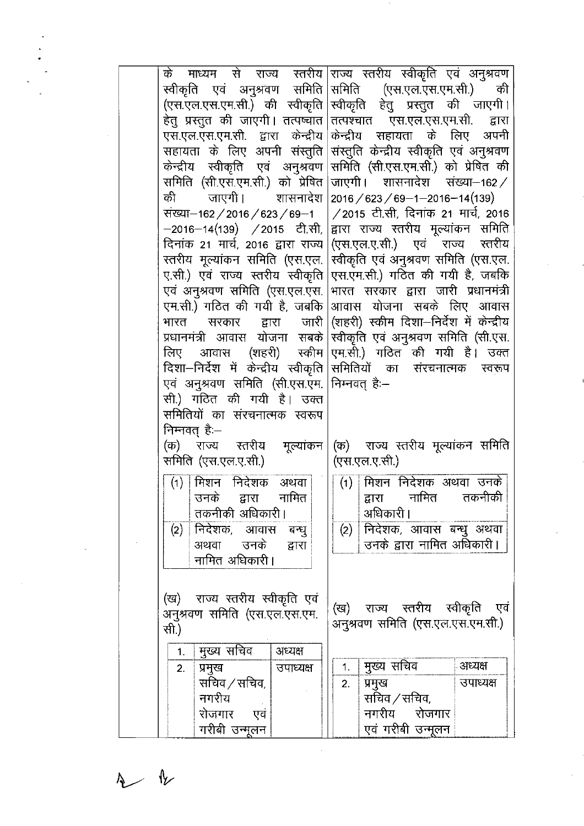|                | के माध्यम से राज्य स्तरीय राज्य स्तरीय स्वीकृति एवं अनुश्रवण             |           |                                                                                                                         |               |                                        |                                          |
|----------------|--------------------------------------------------------------------------|-----------|-------------------------------------------------------------------------------------------------------------------------|---------------|----------------------------------------|------------------------------------------|
|                | स्वीकृति एवं अनुश्रवण समिति समिति (एस.एल.एस.एम.सी.) की                   |           |                                                                                                                         |               |                                        |                                          |
|                | (एस.एल.एस.एम.सी.) की स्वीकृति स्वीकृति हेतु प्रस्तुत की जाएगी।           |           |                                                                                                                         |               |                                        |                                          |
|                | हेतु प्रस्तुत की जाएगी। तत्पष्चात तत्पश्चात  एस.एल.एस.एम.सी.             |           |                                                                                                                         |               |                                        | द्वारा                                   |
|                | एस.एल.एस.एम.सी. द्वारा केन्द्रीय                                         |           |                                                                                                                         |               |                                        | केन्द्रीय सहायता के लिए अपनी             |
|                | सहायता के लिए अपनी संस्तुति                                              |           |                                                                                                                         |               |                                        | संस्तुति केन्द्रीय स्वीकृति एवं अनुश्रवण |
|                | केन्द्रीय स्वीकृति एवं अनुश्रवण                                          |           |                                                                                                                         |               |                                        | समिति (सी.एस.एम.सी.) को प्रेषित की       |
|                | समिति (सी.एस.एम.सी.) को प्रेषित                                          |           |                                                                                                                         |               |                                        | जाएगी। शासनादेश संख्या-162/              |
| की की          | जाएगी। शासनादेश                                                          |           |                                                                                                                         |               | $2016 / 623 / 69 - 1 - 2016 - 14(139)$ |                                          |
|                | संख्या-162 / 2016 / 623 / 69-1                                           |           |                                                                                                                         |               |                                        | /2015 टी.सी, दिनांक 21 मार्च, 2016       |
|                | —2016—14(139)   / 2015   टी.सी,  द्वारा  राज्य  स्तरीय  मूल्यांकन  समिति |           |                                                                                                                         |               |                                        |                                          |
|                | दिनांक 21 मार्च, 2016 द्वारा राज्य (एस.एल.ए.सी.)   एवं   राज्य   स्तरीय  |           |                                                                                                                         |               |                                        |                                          |
|                | रतरीय मूल्यांकन समिति (एस.एल. स्वीकृति एवं अनुश्रवण समिति (एस.एल.        |           |                                                                                                                         |               |                                        |                                          |
|                | ए.सी.) एवं राज्य स्तरीय स्वीकृति एस.एम.सी.) गठित की गयी है, जबकि         |           |                                                                                                                         |               |                                        |                                          |
|                | एवं अनुश्रवण समिति (एस.एल.एस.                                            |           |                                                                                                                         |               |                                        | भारत सरकार द्वारा जारी प्रधानमंत्री      |
|                | एम.सी.) गठित की गयी है, जबकि                                             |           |                                                                                                                         |               |                                        | आवास योजना सबके लिए आवास                 |
|                | भारत सरकार द्वारा जारी (शहरी) स्कीम-दिशा—निर्देश में केन्द्रीय           |           |                                                                                                                         |               |                                        |                                          |
|                | प्रधानमंत्री आवास योजना सबके                                             |           |                                                                                                                         |               |                                        | स्वीकृति एवं अनुश्रवण समिति (सी.एस.      |
|                |                                                                          |           |                                                                                                                         |               |                                        |                                          |
|                |                                                                          |           | लिए आवास (शहरी) स्कीम एम.सी.) गठित की गयी है। उक्त<br>दिशा—निर्देश में केन्द्रीय स्वीकृति समितियों का संरचनात्मक स्वरूप |               |                                        |                                          |
|                | एवं अनुश्रवण समिति (सी.एस.एम. मिम्नवत् है:-                              |           |                                                                                                                         |               |                                        |                                          |
|                | सी.) गठित की गयी है। उक्त                                                |           |                                                                                                                         |               |                                        |                                          |
|                | समितियों का संरचनात्मक स्वरूप                                            |           |                                                                                                                         |               |                                        |                                          |
|                | निन्नवत् है—                                                             |           |                                                                                                                         |               |                                        |                                          |
|                | (क)  राज्य  स्तरीय  मूल्यांकन (क)  राज्य स्तरीय मूल्यांकन समिति          |           |                                                                                                                         |               |                                        |                                          |
|                | ्<br>समिति (एस.एल.ए.सी.)                                                 |           |                                                                                                                         | (एस.एल.ए.सी.) |                                        |                                          |
|                |                                                                          |           |                                                                                                                         |               |                                        |                                          |
|                | $(1)$ मिशन निदेशक अथवा                                                   |           |                                                                                                                         |               |                                        | (1) मिशन निदेशक अथवा उनके                |
|                | उनके द्वारा नामित $\mid$                                                 |           |                                                                                                                         |               |                                        | द्वारा नामित तकनीकी                      |
|                | तकनीकी अधिकारी।                                                          |           |                                                                                                                         | अधिकारी।      |                                        |                                          |
|                | (2) निदेशक, आवास बन्धु                                                   |           |                                                                                                                         |               |                                        | (2) निदेशक, आवास बन्धु अथवा              |
|                | अथवा उनके                                                                | द्वारा    |                                                                                                                         |               | उनके द्वारा नामित अधिकारी।             |                                          |
|                | नामित अधिकारी।                                                           |           |                                                                                                                         |               |                                        |                                          |
|                |                                                                          |           |                                                                                                                         |               |                                        |                                          |
|                | (ख)  राज्य स्तरीय स्वीकृति एवं                                           |           |                                                                                                                         |               |                                        |                                          |
|                | अनुश्रवण समिति (एस.एल.एस.एम.                                             |           |                                                                                                                         |               | (ख) राज्य स्तरीय स्वीकृति              | एव                                       |
| सी.)           |                                                                          |           |                                                                                                                         |               |                                        | अनुश्रवण समिति (एस.एल.एस.एम.सी.)         |
|                |                                                                          |           |                                                                                                                         |               |                                        |                                          |
| 1 <sub>1</sub> | मुख्य सचिव                                                               | अध्यक्ष   |                                                                                                                         |               |                                        | अध्यक्ष                                  |
| 2.             | प्रमुख                                                                   | उपाध्यक्ष | 1.                                                                                                                      | मुख्य सचिव    |                                        |                                          |
|                | सचिव / सचिव,                                                             |           | 2.                                                                                                                      | प्रमुख        |                                        | उपाध्यक्ष                                |
|                | नगरीय                                                                    |           |                                                                                                                         | सचिव / सचिव,  |                                        |                                          |
|                | रोजगार एवं                                                               |           |                                                                                                                         |               | नगरीय रोजगार                           |                                          |
|                | गरीबी उन्मूलन                                                            |           |                                                                                                                         |               | एवं गरीबी उन्मूलन                      |                                          |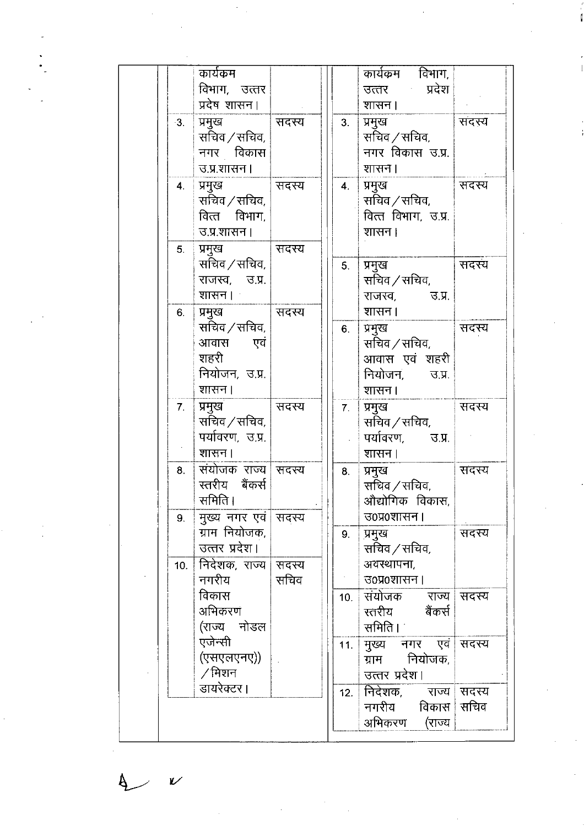| कार्यक्रम                                                             |         |                | कार्यक्रम विभाग,                                                   |         |
|-----------------------------------------------------------------------|---------|----------------|--------------------------------------------------------------------|---------|
| विभाग, उत्तर                                                          |         |                | उत्तर प्रदेश                                                       |         |
| प्रदेष शासन।                                                          |         |                | शासन ।                                                             |         |
| प्रमुख<br>3.<br>सचिव / सचिव,<br>नगर विकास                             | । सदस्य | 3.             | प्रमुख<br>सचिव ⁄ सचिव,<br>नगर विकास उ.प्र.                         | संदऱ्य  |
| उ.प्र.शासन ।                                                          |         |                | शासन।                                                              |         |
| ् <u>र</u> ामुख<br>4.<br>सचिव / सचिव,<br>वित्त विभाग,<br>उ.प्र.शासन । | सदस्य   | 4.             | प्रमुख<br>सचिव ⁄ सचिव,<br>वित्त विभाग, उ.प्र.<br>शासन।             | सदस्य   |
| 5.<br>प्रमुख                                                          | । सदस्य |                |                                                                    |         |
| सचिव / सचिव,<br>राजस्व, उ.प्र.<br>शासन ।                              |         | 5.             | प्रमुख<br>सचिव / सचिव,<br>राजस्व. उ.प्र.                           | सदस्य   |
| प्रमुख   सदस्य<br>6.                                                  |         |                | शासन ।                                                             |         |
| सचिव / सचिव,<br>आवास एवं<br>शहरी<br>नियोजन, उ.प्र.<br>शासन।           |         | 6.             | प्रमुख<br>सचिव / सचिव,<br>आवास एवं शहरी<br>नियोजन, उ.प्र.<br>शासन। | । सदस्य |
| प्रमुख<br>7.                                                          | सदस्य   | 7 <sub>1</sub> | प्रमुख                                                             | । सदस्य |
| सचिव / सचिव,<br>पर्यावरण, उ.प्र.<br>शासन।                             |         |                | सचिव / सचिव,<br>पर्यावरण, उ.प्र. $\vert$<br>शासन।                  |         |
| संयोजक राज्य सदस्य<br>8.<br>स्तरीय बैंकर्स<br>समिति।                  |         | 8.             | प्रमुख<br>सचिव / सचिव,<br>औद्योगिक विकास,                          | सदस्य   |
| 9.   मुख्य नगर एवं   सदस्य<br>ग्राम नियोजक,                           |         |                | उ०प्र०शासन ।                                                       |         |
| उत्तर प्रदेश।<br>10. मिदेशक, राज्य सिदस्य                             |         | 9.             | प्रमुख<br>सचिव ⁄ सचिव,<br>अवस्थापना,                               | सदस्य   |
| नगरीय                                                                 | सचिव    |                | उ०प्र०शासन                                                         |         |
| विकास<br>अभिकरण<br>(राज्य नोडल                                        |         | 10.            | संयोजक<br>राज्य ।सदस्य<br>स्तरीय बैंकर्स<br>समिति । ।              |         |
| एजेन्सी<br>(एसएलएनए))<br>∕ मिशन                                       |         |                | 11. मुख्य नगर एवं सदस्य<br>ग्राम नियोजक,<br>उत्तर प्रदेश।          |         |
| डायरेक्टर।                                                            |         | 12.            | कनिदेशक, राज्य सदस्य<br>नगरीय विकास सचिव<br>अभिकरण (राज्य          |         |

 $\boldsymbol{\nu}$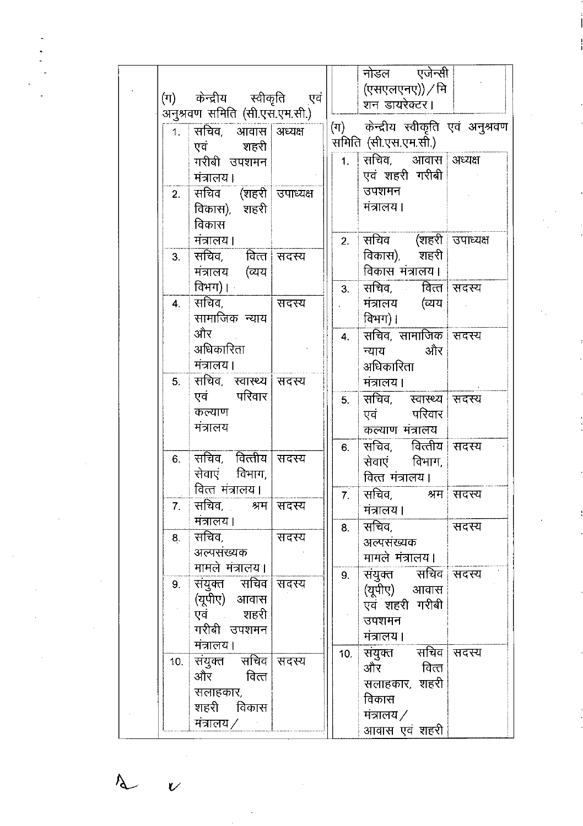|     | (ग) केन्द्रीय स्वीकृति एवं<br>अनुश्रवण समिति (सी.एस.एम.सी.)                 |       |                  | नोडल एजेन्सी<br>(एसएलएनए)) / मि<br>शन डायरेक्टर।                                                       |       |
|-----|-----------------------------------------------------------------------------|-------|------------------|--------------------------------------------------------------------------------------------------------|-------|
|     | 1. सचिव, आवास अध्यक्ष<br>एवं शहरी<br>गरीबी उपशमन<br>मंत्रालय।               |       |                  | (ग) केन्द्रीय स्वीकृति एवं अनुश्रवण<br>समिति (सी.एस.एम.सी.)<br>1. सचिव, आवास अध्यक्ष<br>एवं शहरी गरीबी |       |
| 2.  | सचिव (शहरी उपाध्यक्ष<br>विकास), शहरी<br>विकास                               |       |                  | उपशमन<br>मंत्रालय।                                                                                     |       |
| 3.  | मंत्रालय।<br>सचिव, वित्त सदस्य<br>मंत्रालय (व्यय                            |       |                  | 2. सचिव (शहरी उपाध्यक्ष<br>विकास), शहरी<br>विकास मंत्रालय।                                             |       |
| 4.  | विभग)।<br>सचिव, सा<br>सामाजिक न्याय                                         | सदस्य | 3.               | सचिव, वित्त सदस्य<br>मंत्रालय (व्यय<br>विभग)।                                                          |       |
|     | और<br>अधिकारिता<br>ामंत्रालय।                                               |       | $\overline{4}$ . | सचिव, सामाजिक सदस्य<br>न्याय और<br>अधिकारिता                                                           |       |
|     | 5. सचिव, स्वास्थ्य सिदस्य<br>एवं परिवार<br>कल्याण<br>मंत्रालय               |       | 5.               | मंत्रालय।<br>सचिव, स्वास्थ्य सदस्य<br>एवं परिवार<br>कल्याण मंत्रालय                                    |       |
| 6.  | ॑ सचिव,   वित्तीय ॑ सदस्य<br>सेवाएं विभाग,<br>वित्त मंत्रालय।               |       | 6.               | सचिव, वित्तीय सदस्य<br>सेवाएं विभाग,<br>वित्त मंत्रालय।                                                |       |
|     | 7. सचिव, श्रम सदस्य<br>मंत्रालय।                                            |       |                  | 7. सचिव, श्रम सदस्य<br>मंत्रालय।                                                                       |       |
| 8.  | <sup> </sup> सचिव,<br>अल्पसंख्यक<br>मामले मंत्रालय                          | सदस्य | 8.               | सचिव,<br>अल्पसंख्यक<br>मामले मंत्रालय।                                                                 | सदस्य |
| 9.  | संयुक्त सचिव सदस्य<br>(यूपीए) आवास<br>एवं शहरी<br>गरीबी उपशमन <br>मंत्रालय। |       | 9.               | संयुक्त सचिव सदस्य<br>(यूपीए) आवास<br>एवं शहरी गरीबी<br>उपशमन<br>मंत्रालय।                             |       |
| 10. | संयुक्त सचिव सदस्य<br>और वित्त<br>सलाहकार,<br>शहरी विकास <br>मंत्रालय ⁄     |       | 10.              | संयुक्त सचिव सदस्य<br>और वित्त<br>सलाहकार, शहरी<br>विकास<br>मंत्रालय $\angle$<br>आवास एवं शहरी         |       |

 $\lambda$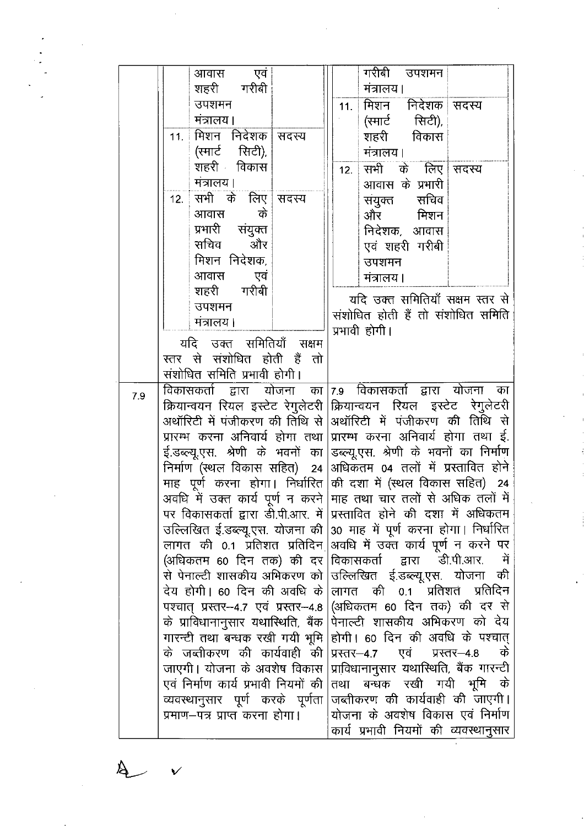|     | आवास एवं                              | गरीबी उपशमन                                                             |
|-----|---------------------------------------|-------------------------------------------------------------------------|
|     | शहरी गरीबी                            | मंत्रालय।                                                               |
|     | उपशमन                                 | मिशन निदेशक सदस्य<br>11.                                                |
|     | मंत्रालय।                             | (स्मार्ट सिटी),                                                         |
|     | 11. मिशन निदेशक सदस्य                 | शहरी विकास                                                              |
|     | (स्मार्ट सिटी),                       | मंत्रालय।                                                               |
|     | शहरी विकास                            | सभी के लिए सदस्य<br>12.                                                 |
|     | मंत्रालय।                             | आवास के प्रभारी                                                         |
|     | 12. सभी के लिए सदस्य                  | संयुक्त संचिव                                                           |
|     | के<br>आवास                            | और मिशन                                                                 |
|     | प्रभारी संयुक्त                       | निदेशक, आवास                                                            |
|     | सचिव और                               | एवं शहरी गरीबी                                                          |
|     | मिशन निदेशक,                          | उपशमन                                                                   |
|     | आवास<br>एवं                           | मंत्रालय।                                                               |
|     | शहरी गरीबी                            |                                                                         |
|     | उपशमन                                 | यदि उक्त समितियाँ सक्षम स्तर से                                         |
|     | मंत्रालय।                             | संशोधित होती हैं तो संशोधित समिति                                       |
|     |                                       | प्रभावी होगी।                                                           |
|     | यदि उक्त समितियाँ सक्षम               |                                                                         |
|     | स्तर से संशोधित होती हैं तो           |                                                                         |
|     | संशोधित समिति प्रभावी होगी।           |                                                                         |
| 7.9 |                                       | विकासकर्ता द्वारा योजना का 7.9 विकासकर्ता द्वारा योजना का               |
|     |                                       | क्रियान्वयन रियल इस्टेट रेगुलेटरी क्रियान्वयन रियल इस्टेट रेगुलेटरी     |
|     |                                       | अथॉरिटी में पंजीकरण की तिथि से  अथॉरिटी  में  पंजीकरण  की  तिथि  से     |
|     |                                       | प्रारम्भ करना अनिवार्य होगा तथा प्रारम्भ करना अनिवार्य होगा तथा ई.      |
|     |                                       | ई.डब्ल्यू.एस. श्रेणी के भवनों का डब्ल्यू.एस. श्रेणी के भवनों का निर्माण |
|     |                                       | निर्माण (स्थल विकास सहित) 24 अधिकतम 04 तलों में प्रस्तावित होने         |
|     |                                       | माह) पूर्ण करना होगा। निर्धारित की दशा में (स्थल विकास सहित) 24         |
|     |                                       | अवधि में उक्त कार्य पूर्ण न करने माह तथा चार तलों से अधिक तलों में      |
|     |                                       | पर विकासकर्ता द्वारा डी.पी.आर. में  प्रस्तावित होने की दशा में अधिकतम   |
|     |                                       | उल्लिखित ई.डब्ल्यू.एस. योजना की 30 माह में पूर्ण करना होगा। निर्धारित   |
|     |                                       | लागत की 0.1 प्रतिशत प्रतिदिन अवधि में उक्त कार्य पूर्ण न करने पर        |
|     | (अधिकतम 60 दिन तक) की दर              | विकासकर्ता द्वारा डी.पी.आर.<br>में                                      |
|     |                                       | से पेनाल्टी शासकीय अभिकरण को  उल्लिखित ई.डब्ल्यू.एस. योजना<br>की        |
|     | देय होगी। 60 दिन की अवधि के           | प्रतिशत<br>प्रतिदिन<br>लागत की 0.1                                      |
|     | पश्चात् प्रस्तर- 4.7 एवं प्रस्तर- 4.8 | (अधिकतम 60 दिन तक) की दर से                                             |
|     | के प्राविधानानुसार यथास्थिति, बैंक    | पेनाल्टी शासकीय अभिकरण को देय                                           |
|     | गारन्टी तथा बन्धक रखी गयी भूमि        | होगी। 60 दिन की अवधि के पश्चात्                                         |
|     | के जब्तीकरण की कार्यवाही की           | एवं प्रस्तर-4.8<br>के<br>प्रस्तर–4.7                                    |
|     | जाएगी। योजना के अवशेष विकास           | प्राविधानानुसार यथास्थिति, बैंक गारन्टी                                 |
|     | एवं निर्माण कार्य प्रभावी नियमों की   | तथा बन्धक रखी गयी भूमि<br>के                                            |
|     | व्यवस्थानुसार पूर्ण करके पूर्णता      | जब्तीकरण की कार्यवाही की जाएगी।                                         |
|     | प्रमाण—पत्र प्राप्त करना होगा।        | योजना के अवशेष विकास एवं निर्माण                                        |
|     |                                       | कार्य प्रभावी नियमों की व्यवस्थानुसार                                   |

 $\cancel{\mathbb{A}}$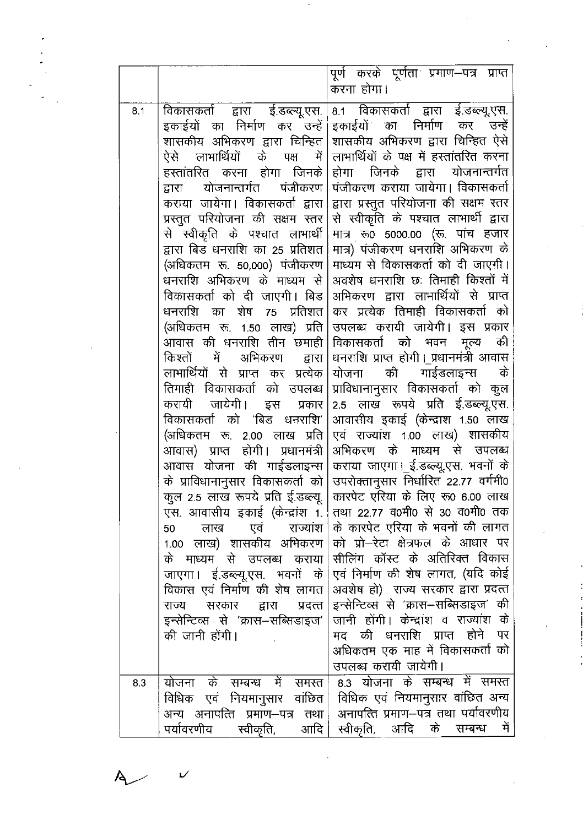|     |                                                                                                                                                                                                                                                                                                                                                                                                                                                                                                                                                                                                                                                                                                                                                                                                                                                                                                                                                                                                                                                                                                                        | पूर्ण करके पूर्णता प्रमाण-पत्र प्राप्त<br>करना होगा।                                                                                                                                                                                                                                                                                                                                                                                                                                                                                                                                                                                                                                                                                                                                                                                                                                                                                                                                                                                                                                                                                                                                                                                                                                                                                                                                                                         |
|-----|------------------------------------------------------------------------------------------------------------------------------------------------------------------------------------------------------------------------------------------------------------------------------------------------------------------------------------------------------------------------------------------------------------------------------------------------------------------------------------------------------------------------------------------------------------------------------------------------------------------------------------------------------------------------------------------------------------------------------------------------------------------------------------------------------------------------------------------------------------------------------------------------------------------------------------------------------------------------------------------------------------------------------------------------------------------------------------------------------------------------|------------------------------------------------------------------------------------------------------------------------------------------------------------------------------------------------------------------------------------------------------------------------------------------------------------------------------------------------------------------------------------------------------------------------------------------------------------------------------------------------------------------------------------------------------------------------------------------------------------------------------------------------------------------------------------------------------------------------------------------------------------------------------------------------------------------------------------------------------------------------------------------------------------------------------------------------------------------------------------------------------------------------------------------------------------------------------------------------------------------------------------------------------------------------------------------------------------------------------------------------------------------------------------------------------------------------------------------------------------------------------------------------------------------------------|
| 8.1 | विकासकर्ता द्वारा ई.डब्ल्यू.एस.<br>इकाईयों का निर्माण कर उन्हें<br>शासकीय अभिकरण द्वारा चिन्हित<br>ऐसे लाभार्थियों के पक्ष में<br>हरतांतरित करना होगा जिनके<br>योजनान्तर्गत<br>पंजीकरण<br>द्वारा<br>कराया जायेगा। विकासकर्ता द्वारा<br>प्रस्तुत परियोजना की सक्षम स्तर<br>से स्वीकृति के पश्चात लाभार्थी<br>द्वारा बिड धनराशि का 25 प्रतिशत<br>(अधिकतम रू. 50,000) पंजीकरण<br>धनराशि अभिकरण के माध्यम से<br>विकासकर्ता को दी जाएगी। बिड<br>धनराशि का शेष 75 प्रतिशत<br>(अधिकतम रू. 1.50 लाख) प्रति<br>आवास की धनराशि तीन छमाही<br>किश्तों में अभिकरण द्वारा<br>लाभार्थियों से प्राप्त कर प्रत्येक<br>तिमाही विकासकर्ता को उपलब्ध<br>करायी जायेगी। इस प्रकार<br>विकासकर्ता को 'बिड धनराशि'<br>(अधिकतम रू. 2.00 लाख प्रति<br>आवास) प्राप्त होगी। प्रधानमंत्री<br>आवास योजना की गाईडलाइन्स<br>के प्राविधानानुसार विकासकर्ता को<br>कुल 2.5 लाख रूपये प्रति ई.डब्ल्यू.<br>लाख एवं राज्यांश<br>50<br>1.00 लाख) शासकीय अभिकरण<br>के माध्यम से उपलब्ध<br>कराया<br>जाएगा। ई.डब्ल्यू.एस. भवनों के<br>विकास एवं निर्माण की शेष लागत<br>सरकार<br>राज्य<br>द्वारा<br>प्रदत्त<br>इन्सेन्टिव्स से 'क्रास–सब्सिडाइज'<br>की जानी होंगी। | 8.1 विकासकर्ता द्वारा ई.डब्ल्यू.एस.<br>इकाईयों का निर्माण कर उन्हें<br>शासकीय अभिकरण द्वारा चिन्हित ऐसे<br>लाभार्थियों के पक्ष में हस्तांतरित करना<br>होगा जिनके द्वारा योजनान्तर्गत<br>पंजीकरण कराया जायेगा। विकासकर्ता<br>द्वारा प्रस्तुत परियोजना की सक्षम स्तर<br>से स्वीकृति के पश्चात लाभार्थी द्वारा<br>मात्र रू0 5000.00 (रू. पांच हजार<br>मात्र) पंजीकरण धनराशि अभिकरण के<br>माध्यम से विकासकर्ता को दी जाएगी।<br>अवशेष धनराशि छः तिमाही किश्तों में<br>अभिकरण द्वारा लाभार्थियों से प्राप्त<br>कर प्रत्येक तिमाही विकासकर्ता को<br>उपलब्ध करायी जायेगी। इस प्रकार<br>की<br>विकासकर्ता को भवन मूल्य<br>धनराशि प्राप्त होगी।_प्रधानमंत्री आवास<br>की गाईडलाइन्स<br>के<br>योजना<br>प्राविधानानुसार विकासकर्ता को कुल<br>2.5 लाख रूपये प्रति ई.डब्ल्यू.एस.<br>आवासीय इकाई (केन्द्राश 1.50 लाख<br>एवं राज्यांश 1.00 लाख) शासकीय<br>अभिकरण के माध्यम से उपलब्ध<br>कराया जाएगा।_ई.डब्ल्यू.एस. भवनों के<br>उपरोक्तानुसार निर्धारित 22.77 वर्गमी0<br>कारपेट एरिया के लिए रू0 6.00 लाख<br>एस. आवासीय इकाई (केन्द्रांश 1. तथा 22.77 व0मी0 से 30 व0मी0 तक<br>के कारपेट एरिया के भवनों की लागत<br>को प्रो–रेटा क्षेत्रफल के आधार पर<br>सीलिंग कॉस्ट के अतिरिक्त विकास<br>एवं निर्माण की शेष लागत, (यदि कोई)<br>अवशेष हो)  राज्य सरकार द्वारा प्रदत्त<br>इन्सेन्टिव्स से 'क्रास–सब्सिडाइज' की<br>जानी होंगी। केन्द्रांश व राज्यांश के<br>मद की धनराशि प्राप्त होने पर<br>अधिकतम एक माह में विकासकर्ता को<br>उपलब्ध करायी जायेगी। |
| 8.3 | योजना के सम्बन्ध में समस्त<br>विधिक एवं नियमानुसार वांछित <br>अन्य अनापत्ति प्रमाण–पत्र तथा <br>आदि  <br>पर्यावरणीय<br>स्वीकृति,                                                                                                                                                                                                                                                                                                                                                                                                                                                                                                                                                                                                                                                                                                                                                                                                                                                                                                                                                                                       | 8.3 योजना के सम्बन्ध में समस्त<br>विधिक एवं नियमानुसार वांछित अन्य<br>अनापत्ति प्रमाण-पत्र तथा पर्यावरणीय<br>स्वीकृति, आदि के सम्बन्ध<br>में                                                                                                                                                                                                                                                                                                                                                                                                                                                                                                                                                                                                                                                                                                                                                                                                                                                                                                                                                                                                                                                                                                                                                                                                                                                                                 |

 $\ddot{\phantom{a}}$ 

 $\sim$ 

 $\overline{\mathsf{A}}$ 

 $\overline{\nu}$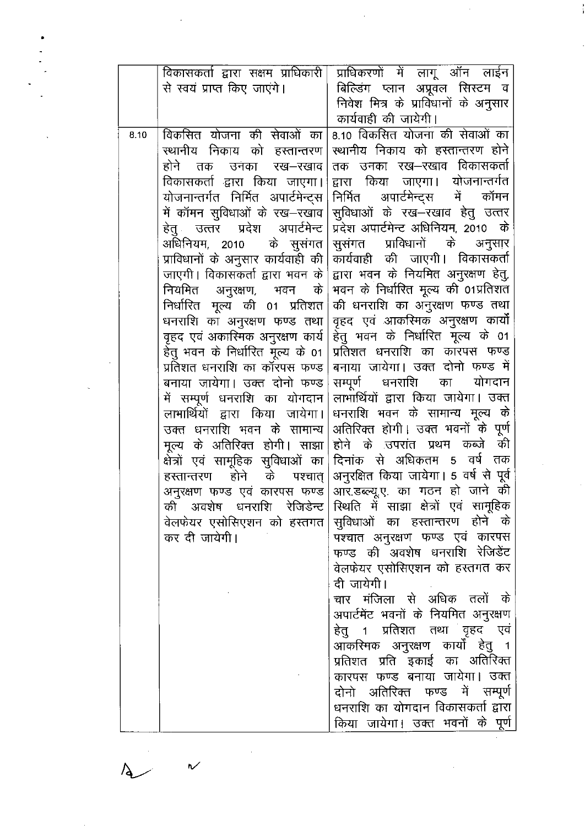|      | विकासकर्ता द्वारा सक्षम प्राधिकारी | प्राधिकरणों में लागू ऑन लाईन                                      |
|------|------------------------------------|-------------------------------------------------------------------|
|      | से स्वयं प्राप्त किए जाएंगे।       | बिल्डिंग प्लान अप्रूवल सिस्टम व                                   |
|      |                                    | निवेश मित्र के प्राविधानों के अनुसार                              |
|      |                                    | कार्यवाही की जायेगी।                                              |
| 8.10 | विकसित योजना की सेवाओं का          | 8.10 विकसित योजना की सेवाओं का                                    |
|      | स्थानीय निकाय को हस्तान्तरण        | स्थानीय निकाय को हस्तान्तरण होने                                  |
|      | होने तक<br>उनका रख-रखाव।           | तक उनका रख—रखाव विकासकर्ता                                        |
|      | विकासकर्ता द्वारा किया जाएगा।      | द्वारा किया जाएगा। योजनान्तर्गत                                   |
|      |                                    | योजनान्तर्गत निर्मित अपार्टमेन्ट्स निर्मित अपार्टमेन्ट्स में कॉमन |
|      | में कॉमन सुविधाओं के रख—रखाव       | सुविधाओं के रख-रखाव हेतु उत्तर                                    |
|      |                                    | हेतु उत्तर प्रदेश अपार्टमेन्ट प्रिदेश अपार्टमेन्ट अधिनियम २०१० के |
|      | अधिनियम, 2010 के सुसंगत            | सुसंगत प्राविधानों के अनुसार                                      |
|      | प्राविधानों के अनुसार कार्यवाही की | कार्यवाही की जाएगी। विकासकर्ता                                    |
|      | जाएगी। विकासकर्ता द्वारा भवन के    | द्वारा भवन के नियमित अनुरक्षण हेतु,                               |
|      | नियमित अनुरक्षण, भवन के $\mid$     | भवन के निर्धारित मूल्य की 01प्रतिशत                               |
|      | निर्धारित मूल्य की 01 प्रतिशत      | की धनराशि का अनुरक्षण फण्ड तथा                                    |
|      | धनराशि का अनुरक्षण फण्ड तथा        | वृहद एवं आकस्मिक अनुरक्षण कार्यो                                  |
|      | वृहद एवं अकारिमक अनुरक्षण कार्य    | हेतु भवन के निर्धारित मूल्य के 01                                 |
|      | हेतु भवन के निर्धारित मूल्य के 01  | प्रतिशत धनराशि का कारंपस फण्ड                                     |
|      | प्रतिशत धनराशि का कॉरपस फण्ड       | बनाया जायेगा। उक्त दोनो फण्ड में                                  |
|      | बनाया जायेगा। उक्त दोनो फण्ड       | सम्पूर्ण धनराशि का योगदान                                         |
|      | में सम्पूर्ण धनराशि का योगदान      | लाभार्थियों द्वारा किया जायेगा। उक्त                              |
|      | लाभार्थियों द्वारा किया जायेगा।    | धनराशि भवन के सामान्य मूल्य के                                    |
|      | उक्त धनराशि भवन के सामान्य         | अतिरिक्त होगी। उक्त भवनों के पूर्ण                                |
|      |                                    | मूल्य के अतिरिक्त होगी। साझा होने के उपरांत प्रथम कब्जे की        |
|      |                                    | क्षेत्रों एवं सामूहिक सुविधाओं का दिनांक से अधिकतम 5 वर्ष तक      |
|      | हरतान्तरण होने के पश्चात् $\vert$  | अनुरक्षित किया जायेगा। 5 वर्ष से पूर्व                            |
|      |                                    | अनुरक्षण फण्ड एवं कारपस फण्ड आर.डब्ल्यू.ए. का गठन हो जाने की      |
|      | की अवशेष धनराशि रेजिडेन्ट          | स्थिति में साझा क्षेत्रों एवं सामूहिक                             |
|      | वेलफेयर एसोसिएशन को हस्तगत         | सुविधाओं का हस्तान्तरण होने के                                    |
|      | कर दी जायेगी।                      | पश्चात अनुरक्षण फण्ड एवं कारपस                                    |
|      |                                    | फण्ड की अवशेष धनराशि रेजिडेंट                                     |
|      |                                    | वेलफेयर एसोसिएशन को हस्तगत कर                                     |
|      |                                    | दी जायेगी।                                                        |
|      |                                    | चार मंजिला से अधिक तलों के                                        |
|      |                                    | अपार्टमेंट भवनों के नियमित अनुरक्षण                               |
|      |                                    | हेतु 1 प्रतिशत तथा वृहद एवं                                       |
|      |                                    | आकरिमक अनुरक्षण कार्यों हेतु १                                    |
|      |                                    | प्रतिशत प्रति इकाई का अतिरिक्त                                    |
|      |                                    | कारपस फण्ड बनाया जायेगा। उक्त                                     |
|      |                                    | दोनो अतिरिक्त फण्ड में सम्पूर्ण                                   |
|      |                                    | धनराशि का योगदान विकासकर्ता द्वारा                                |
|      |                                    | किया जायेगा। उक्त भवनों के पूर्ण                                  |

÷,

 $\ddot{\phantom{a}}$ 

 $\checkmark$ 

 $\overline{A}$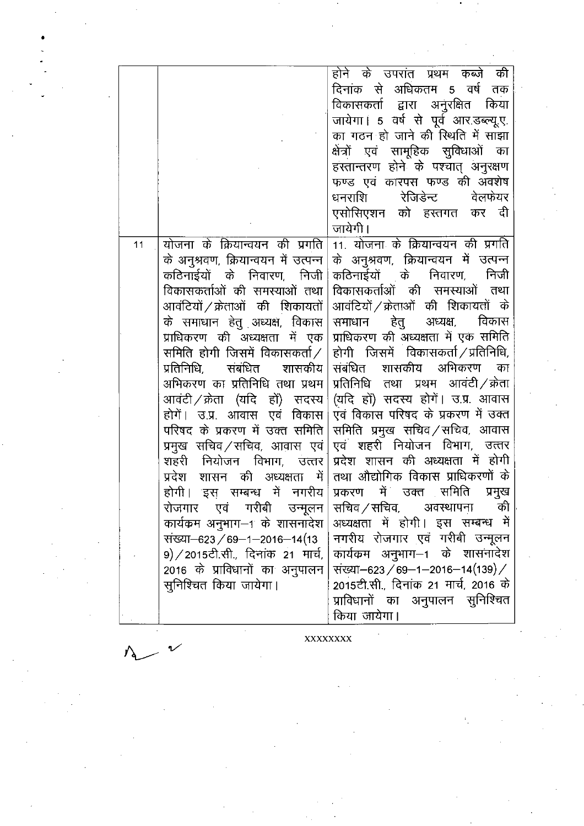|    |                                       | होने के उपरांत प्रथम कब्जे<br>की      |
|----|---------------------------------------|---------------------------------------|
|    |                                       | दिनांक से अधिकतम 5 वर्ष<br>तक         |
|    |                                       | विकासकर्ता द्वारा अनुरक्षित किया      |
|    |                                       | जायेगा। 5 वर्ष से पूर्व आर.डब्ल्यू.ए. |
|    |                                       | का गठन हो जाने की रिथति में साझा      |
|    |                                       | क्षेत्रों एवं सामूहिक सुविधाओं का     |
|    |                                       | हस्तान्तरण होने के पश्चात् अनुरक्षण   |
|    |                                       | फण्ड एवं कारपस फण्ड की अवशेष          |
|    |                                       | रेजिडेन्ट वेलफेयर<br>धनराशि           |
|    |                                       | एसोसिएशन को हस्तगत कर दी              |
|    |                                       | जायेगी।                               |
| 11 | योजना के क्रियान्वयन की प्रगति        | 11. योजना के क्रियान्वयन की प्रगति    |
|    | के अनुश्रवण, क्रियान्वयन में उत्पन्न  | के अनुश्रवण, क्रियान्वयन में उत्पन्न  |
|    | कठिनाईयों के निवारण, निजी             | कठिनाईयों के निवारण, निजी             |
|    | विकासकर्ताओं की समस्याओं तथा          | विकासकर्ताओं की समस्याओं तथा          |
|    | आवंटियों / क्रेताओं की शिकायतों       | आवंटियों / क्रेताओं की शिकायतों के    |
|    | के समाधान हेतु अध्यक्ष, विकास         | समाधान हेतु अध्यक्ष, विकास            |
|    | प्राधिकरण की अध्यक्षता में एक         | प्राधिकरण की अध्यक्षता में एक समिति   |
|    | समिति होगी जिसमें विकासकर्ता $\angle$ | होगी जिसमें विकासकर्ता/प्रतिनिधि,     |
|    | प्रतिनिधि, संबंधित शासकीय             | संबंधित शासकीय अभिकरण<br>का           |
|    | अभिकरण का प्रतिनिधि तथा प्रथम         | प्रतिनिधि तथा प्रथम आवंटी / क्रेता    |
|    | आवंटी ⁄ क्रेता (यदि हों) सदस्य        | (यदि हों) सदस्य होगें। उ.प्र. आवास    |
|    | होगें। उ.प्र. आवास एवं विकास          | एवं विकास परिषद के प्रकरण में उक्त    |
|    | परिषद के प्रकरण में उक्त समिति        | समिति प्रमुख सचिव/सचिव, आवास          |
|    | प्रमुख सचिव ⁄ सचिव, आवास एवं          | एवं शहरी नियोजन विभाग, उत्तर          |
|    | शहरी नियोजन विभाग, उत्तर              | प्रदेश शासन की अध्यक्षता में होगी     |
|    | प्रदेश शासन की अध्यक्षता में          | तथा औद्योगिक विकास प्राधिकरणों के     |
|    | होगी। इस सम्बन्ध में नगरीय            | प्रकरण में उक्त समिति<br>प्रमुख       |
|    | रोजगार एवं गरीबी उन्मूलन              | सचिव / सचिव, अवस्थापना की             |
|    | कार्यक्रम अनुभाग–1 के शासनादेश        | अध्यक्षता में होगी। इस सम्बन्ध में    |
|    | संख्या–623 / 69–1–2016–14(13          | नगरीय रोजगार एवं गरीबी उन्मूलन        |
|    | 9) / 2015टी.सी., दिनांक 21 मार्च,     | कार्यक्रम अनुभाग–1 के शासनादेश        |
|    | 2016 के प्राविधानों का अनुपालन        | संख्या-623/69-1-2016-14(139)/         |
|    | सुनिश्चित किया जायेगा।                | 2015टी.सी., दिनांक 21 मार्च, 2016 के  |
|    |                                       | प्राविधानों का अनुपालन सुनिश्चित      |
|    |                                       | किया जायेगा।                          |
|    |                                       |                                       |

XXXXXXXX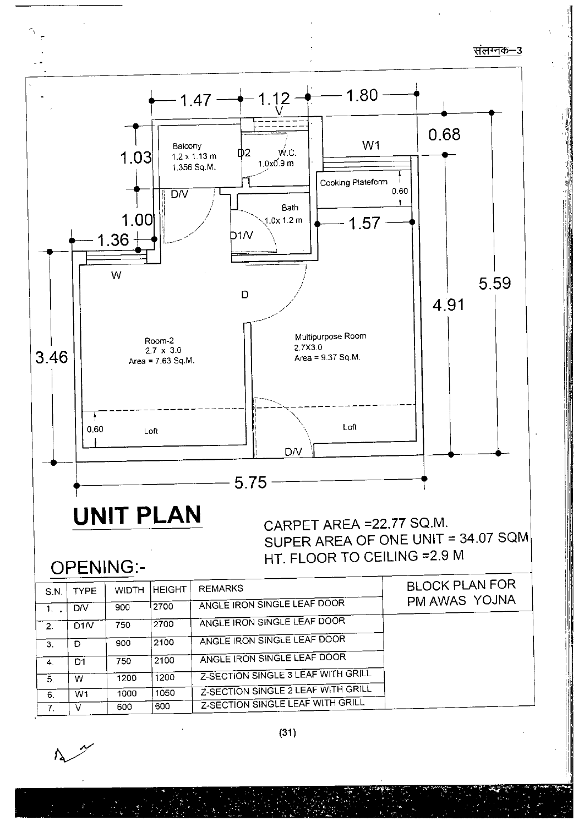संलग्नक-3



(31)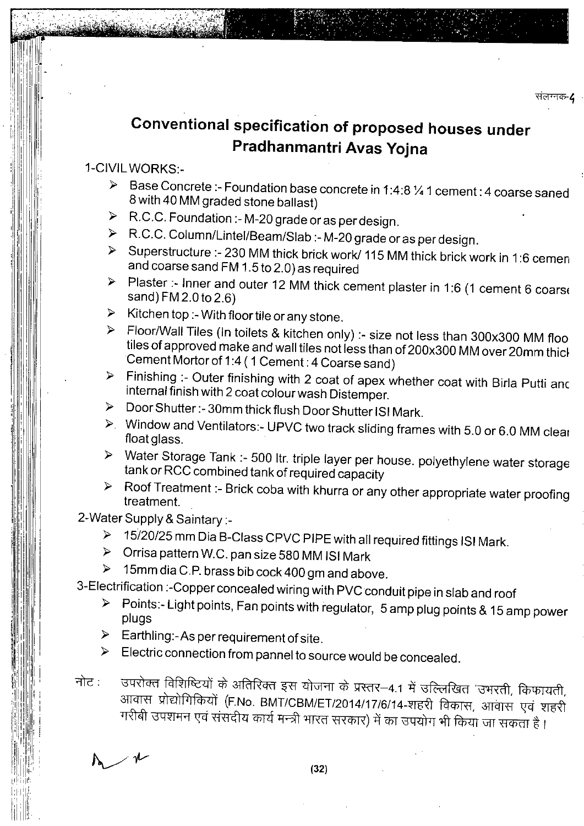# **Conventional specification of proposed houses under Pradhanmantri Avas Yojna**

### 1-CIVIL WORKS:-

- Base Concrete :- Foundation base concrete in 1:4:8% 1 cement :4 coarse saned  $\blacktriangleright$ 8 with 40 MM graded stone ballast)
- > R.C.C. Foundation :- M-20 grade or as per design.
- R.C.C. Column/Lintel/Beam/Slab :- M-20 grade or as per design.
- Superstructure :- 230 MM thick brick work/ 115 MM thick brick work in 1:6 cemen and coarse sand FM 1.5 to 2.0)as required
- Plaster :- Inner and outer 12 MM thick cement plaster in 1:6 (1 cement 6 coarse  $\blacktriangle$ sand) FM 2.0 to 2.6)
- $\triangleright$  Kitchen top :- With floor tile or any stone.
- > Floor/Wall Tiles (In toilets & kitchen only) :- size not less than 300x300 MM floo tiles of approved make and wall tiles not less than of 200x300 MM over 20mm thich Cement Mortor of 1:4 ( 1 Cement : 4 Coarse sand)
- Finishing :- Outer finishing with 2 coat of apex whether coat with Birla Putti anc internal finish with 2 coat colour wash Distemper
- Door Shutter:- 30mm thick flush Door Shutter ISI Mark.  $\blacktriangleright$
- Window and Ventilators:- UPVC two track sliding frames with 5.0 or 6.0 MM cleat float glass.
- Water Storage Tank :- 500 !tr. triple layer per house, polyethylene water storage tank or RCC combined tank of required capacity
- > Roof Treatment :- Brick coba with khurra or any other appropriate water proofing treatment.

2-Water Supply & Saintary :-

- 15/20/25 mm Dia B-Class CPVC PIPE with all required fittings ISI Mark.
- Orrisa pattern W.C. pan size 580 MM ISI Mark
- > 15mm dia C.P. brass bib cock 400 gm and above.

3-Electrification :-Copper concealed wiring with PVC conduit pipe in slab and roof

- Points:- Light points, Fan points with regulator, 5 amp plug points & 15 amp power  $\blacktriangleright$ plugs
- $\triangleright$  Earthling:-As per requirement of site.
- $\triangleright$  Electric connection from pannel to source would be concealed.
- नोट : उपरोक्त विशिष्टियों के अतिरिक्त इस योजना के प्रस्तर–4.1 में उल्लिखित 'उभरती, किफायती, आवास प्रोद्योगिकियों (F.No. BMT/CBM/ET/2014/17/6/14-शहरी विकास, आवास एवं शहरी गरीबी उपशमन एवं संसदीय कार्य मन्त्री भारत सरकार) में का उपयोग भी किया जा सकता है।

 $\swarrow$